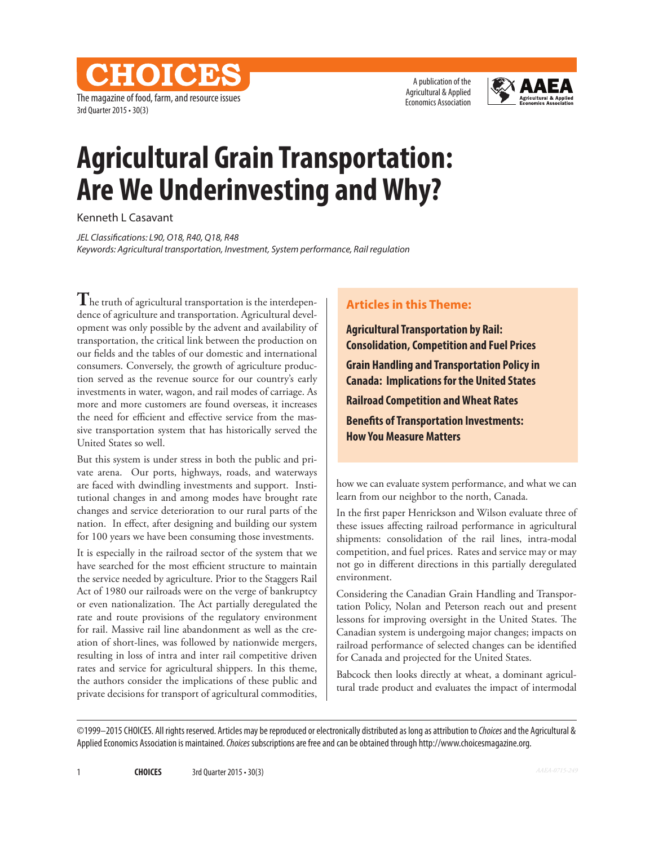A publication of the Agricultural & Applied Economics Association



# **Agricultural Grain Transportation: Are We Underinvesting and Why?**

Kenneth L Casavant

3rd Quarter 2015 • 30(3)

The magazine of food, farm, and resource issues

**CHOICE** 

*JEL Classifications: L90, O18, R40, Q18, R48 Keywords: Agricultural transportation, Investment, System performance, Rail regulation*

**T**he truth of agricultural transportation is the interdependence of agriculture and transportation. Agricultural development was only possible by the advent and availability of transportation, the critical link between the production on our fields and the tables of our domestic and international consumers. Conversely, the growth of agriculture production served as the revenue source for our country's early investments in water, wagon, and rail modes of carriage. As more and more customers are found overseas, it increases the need for efficient and effective service from the massive transportation system that has historically served the United States so well.

But this system is under stress in both the public and private arena. Our ports, highways, roads, and waterways are faced with dwindling investments and support. Institutional changes in and among modes have brought rate changes and service deterioration to our rural parts of the nation. In effect, after designing and building our system for 100 years we have been consuming those investments.

It is especially in the railroad sector of the system that we have searched for the most efficient structure to maintain the service needed by agriculture. Prior to the Staggers Rail Act of 1980 our railroads were on the verge of bankruptcy or even nationalization. The Act partially deregulated the rate and route provisions of the regulatory environment for rail. Massive rail line abandonment as well as the creation of short-lines, was followed by nationwide mergers, resulting in loss of intra and inter rail competitive driven rates and service for agricultural shippers. In this theme, the authors consider the implications of these public and private decisions for transport of agricultural commodities,

## **Articles in this Theme:**

**Agricultural Transportation by Rail: Consolidation, Competition and Fuel Prices Grain Handling and Transportation Policy in Canada: Implications for the United States Railroad Competition and Wheat Rates Benefits of Transportation Investments: How You Measure Matters**

how we can evaluate system performance, and what we can learn from our neighbor to the north, Canada.

In the first paper Henrickson and Wilson evaluate three of these issues affecting railroad performance in agricultural shipments: consolidation of the rail lines, intra-modal competition, and fuel prices. Rates and service may or may not go in different directions in this partially deregulated environment.

Considering the Canadian Grain Handling and Transportation Policy, Nolan and Peterson reach out and present lessons for improving oversight in the United States. The Canadian system is undergoing major changes; impacts on railroad performance of selected changes can be identified for Canada and projected for the United States.

Babcock then looks directly at wheat, a dominant agricultural trade product and evaluates the impact of intermodal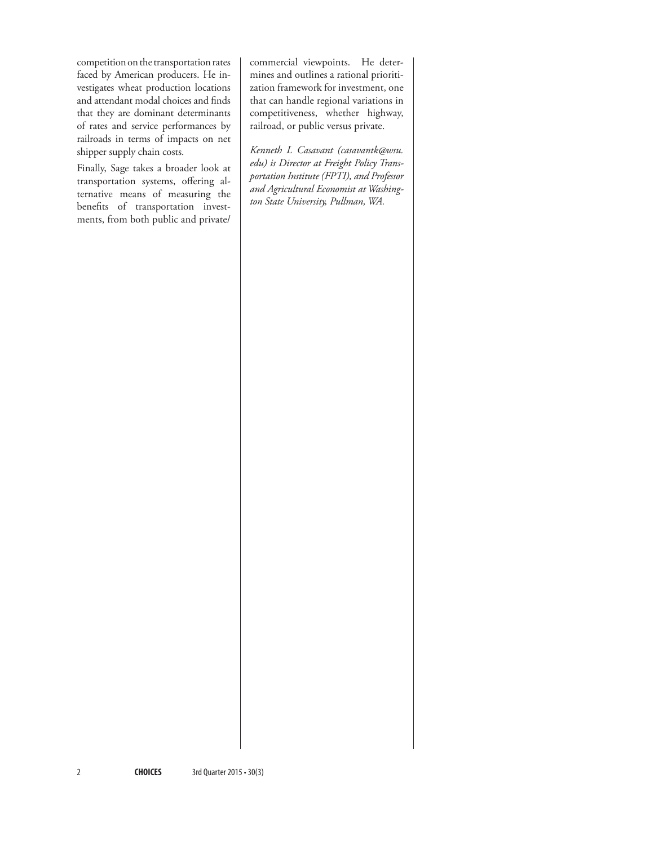competition on the transportation rates faced by American producers. He investigates wheat production locations and attendant modal choices and finds that they are dominant determinants of rates and service performances by railroads in terms of impacts on net shipper supply chain costs.

Finally, Sage takes a broader look at transportation systems, offering alternative means of measuring the benefits of transportation investments, from both public and private/

commercial viewpoints. He determines and outlines a rational prioritization framework for investment, one that can handle regional variations in competitiveness, whether highway, railroad, or public versus private.

*Kenneth L Casavant (casavantk@wsu. edu) is Director at Freight Policy Transportation Institute (FPTI), and Professor and Agricultural Economist at Washington State University, Pullman, WA.*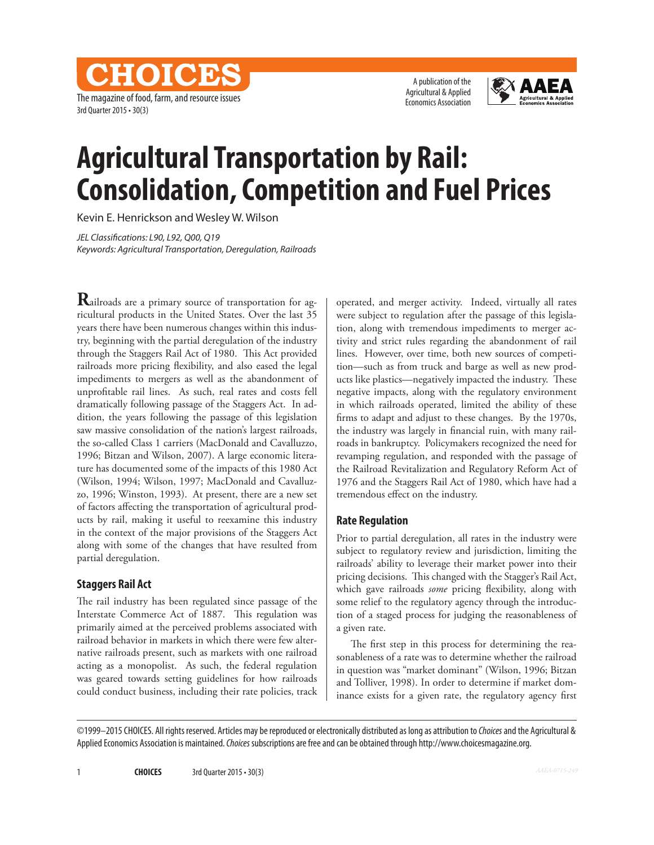The magazine of food, farm, and resource issues 3rd Quarter 2015 • 30(3)

CHOICES

A publication of the Agricultural & Applied Economics Association



# **Agricultural Transportation by Rail: Consolidation, Competition and Fuel Prices**

Kevin E. Henrickson and Wesley W. Wilson

*JEL Classifications: L90, L92, Q00, Q19 Keywords: Agricultural Transportation, Deregulation, Railroads*

**R**ailroads are a primary source of transportation for agricultural products in the United States. Over the last 35 years there have been numerous changes within this industry, beginning with the partial deregulation of the industry through the Staggers Rail Act of 1980. This Act provided railroads more pricing flexibility, and also eased the legal impediments to mergers as well as the abandonment of unprofitable rail lines. As such, real rates and costs fell dramatically following passage of the Staggers Act. In addition, the years following the passage of this legislation saw massive consolidation of the nation's largest railroads, the so-called Class 1 carriers (MacDonald and Cavalluzzo, 1996; Bitzan and Wilson, 2007). A large economic literature has documented some of the impacts of this 1980 Act (Wilson, 1994; Wilson, 1997; MacDonald and Cavalluzzo, 1996; Winston, 1993). At present, there are a new set of factors affecting the transportation of agricultural products by rail, making it useful to reexamine this industry in the context of the major provisions of the Staggers Act along with some of the changes that have resulted from partial deregulation.

#### **Staggers Rail Act**

The rail industry has been regulated since passage of the Interstate Commerce Act of 1887. This regulation was primarily aimed at the perceived problems associated with railroad behavior in markets in which there were few alternative railroads present, such as markets with one railroad acting as a monopolist. As such, the federal regulation was geared towards setting guidelines for how railroads could conduct business, including their rate policies, track operated, and merger activity. Indeed, virtually all rates were subject to regulation after the passage of this legislation, along with tremendous impediments to merger activity and strict rules regarding the abandonment of rail lines. However, over time, both new sources of competition—such as from truck and barge as well as new products like plastics—negatively impacted the industry. These negative impacts, along with the regulatory environment in which railroads operated, limited the ability of these firms to adapt and adjust to these changes. By the 1970s, the industry was largely in financial ruin, with many railroads in bankruptcy. Policymakers recognized the need for revamping regulation, and responded with the passage of the Railroad Revitalization and Regulatory Reform Act of 1976 and the Staggers Rail Act of 1980, which have had a tremendous effect on the industry.

### **Rate Regulation**

Prior to partial deregulation, all rates in the industry were subject to regulatory review and jurisdiction, limiting the railroads' ability to leverage their market power into their pricing decisions. This changed with the Stagger's Rail Act, which gave railroads *some* pricing flexibility, along with some relief to the regulatory agency through the introduction of a staged process for judging the reasonableness of a given rate.

The first step in this process for determining the reasonableness of a rate was to determine whether the railroad in question was "market dominant" (Wilson, 1996; Bitzan and Tolliver, 1998). In order to determine if market dominance exists for a given rate, the regulatory agency first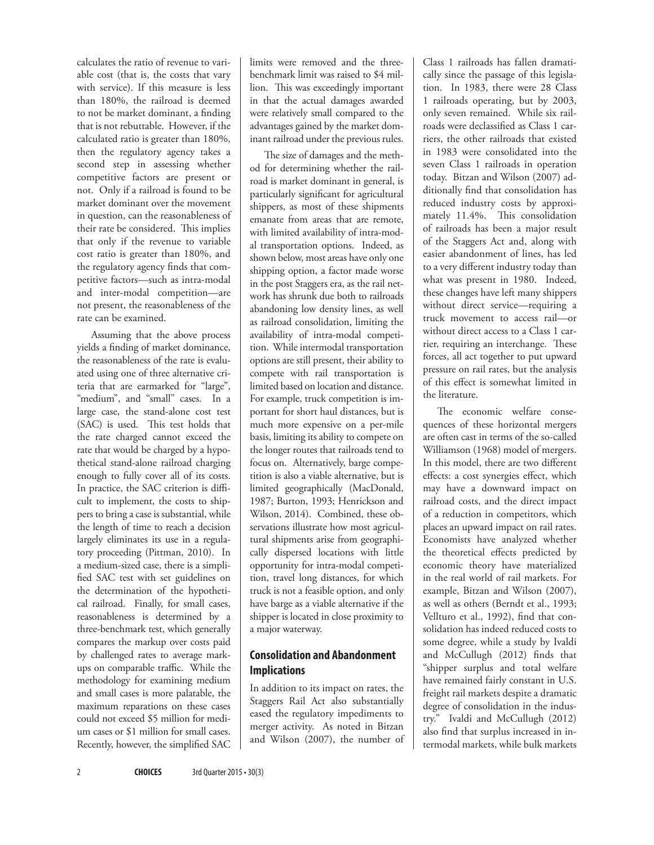calculates the ratio of revenue to variable cost (that is, the costs that vary with service). If this measure is less than 180%, the railroad is deemed to not be market dominant, a finding that is not rebuttable. However, if the calculated ratio is greater than 180%, then the regulatory agency takes a second step in assessing whether competitive factors are present or not. Only if a railroad is found to be market dominant over the movement in question, can the reasonableness of their rate be considered. This implies that only if the revenue to variable cost ratio is greater than 180%, and the regulatory agency finds that competitive factors—such as intra-modal and inter-modal competition—are not present, the reasonableness of the rate can be examined.

Assuming that the above process yields a finding of market dominance, the reasonableness of the rate is evaluated using one of three alternative criteria that are earmarked for "large", "medium", and "small" cases. In a large case, the stand-alone cost test (SAC) is used. This test holds that the rate charged cannot exceed the rate that would be charged by a hypothetical stand-alone railroad charging enough to fully cover all of its costs. In practice, the SAC criterion is difficult to implement, the costs to shippers to bring a case is substantial, while the length of time to reach a decision largely eliminates its use in a regulatory proceeding (Pittman, 2010). In a medium-sized case, there is a simplified SAC test with set guidelines on the determination of the hypothetical railroad. Finally, for small cases, reasonableness is determined by a three-benchmark test, which generally compares the markup over costs paid by challenged rates to average markups on comparable traffic. While the methodology for examining medium and small cases is more palatable, the maximum reparations on these cases could not exceed \$5 million for medium cases or \$1 million for small cases. Recently, however, the simplified SAC limits were removed and the threebenchmark limit was raised to \$4 million. This was exceedingly important in that the actual damages awarded were relatively small compared to the advantages gained by the market dominant railroad under the previous rules.

The size of damages and the method for determining whether the railroad is market dominant in general, is particularly significant for agricultural shippers, as most of these shipments emanate from areas that are remote, with limited availability of intra-modal transportation options. Indeed, as shown below, most areas have only one shipping option, a factor made worse in the post Staggers era, as the rail network has shrunk due both to railroads abandoning low density lines, as well as railroad consolidation, limiting the availability of intra-modal competition. While intermodal transportation options are still present, their ability to compete with rail transportation is limited based on location and distance. For example, truck competition is important for short haul distances, but is much more expensive on a per-mile basis, limiting its ability to compete on the longer routes that railroads tend to focus on. Alternatively, barge competition is also a viable alternative, but is limited geographically (MacDonald, 1987; Burton, 1993; Henrickson and Wilson, 2014). Combined, these observations illustrate how most agricultural shipments arise from geographically dispersed locations with little opportunity for intra-modal competition, travel long distances, for which truck is not a feasible option, and only have barge as a viable alternative if the shipper is located in close proximity to a major waterway.

# **Consolidation and Abandonment Implications**

In addition to its impact on rates, the Staggers Rail Act also substantially eased the regulatory impediments to merger activity. As noted in Bitzan and Wilson (2007), the number of Class 1 railroads has fallen dramatically since the passage of this legislation. In 1983, there were 28 Class 1 railroads operating, but by 2003, only seven remained. While six railroads were declassified as Class 1 carriers, the other railroads that existed in 1983 were consolidated into the seven Class 1 railroads in operation today. Bitzan and Wilson (2007) additionally find that consolidation has reduced industry costs by approximately 11.4%. This consolidation of railroads has been a major result of the Staggers Act and, along with easier abandonment of lines, has led to a very different industry today than what was present in 1980. Indeed, these changes have left many shippers without direct service—requiring a truck movement to access rail—or without direct access to a Class 1 carrier, requiring an interchange. These forces, all act together to put upward pressure on rail rates, but the analysis of this effect is somewhat limited in the literature.

The economic welfare consequences of these horizontal mergers are often cast in terms of the so-called Williamson (1968) model of mergers. In this model, there are two different effects: a cost synergies effect, which may have a downward impact on railroad costs, and the direct impact of a reduction in competitors, which places an upward impact on rail rates. Economists have analyzed whether the theoretical effects predicted by economic theory have materialized in the real world of rail markets. For example, Bitzan and Wilson (2007), as well as others (Berndt et al., 1993; Vellturo et al., 1992), find that consolidation has indeed reduced costs to some degree, while a study by Ivaldi and McCullugh (2012) finds that "shipper surplus and total welfare have remained fairly constant in U.S. freight rail markets despite a dramatic degree of consolidation in the industry." Ivaldi and McCullugh (2012) also find that surplus increased in intermodal markets, while bulk markets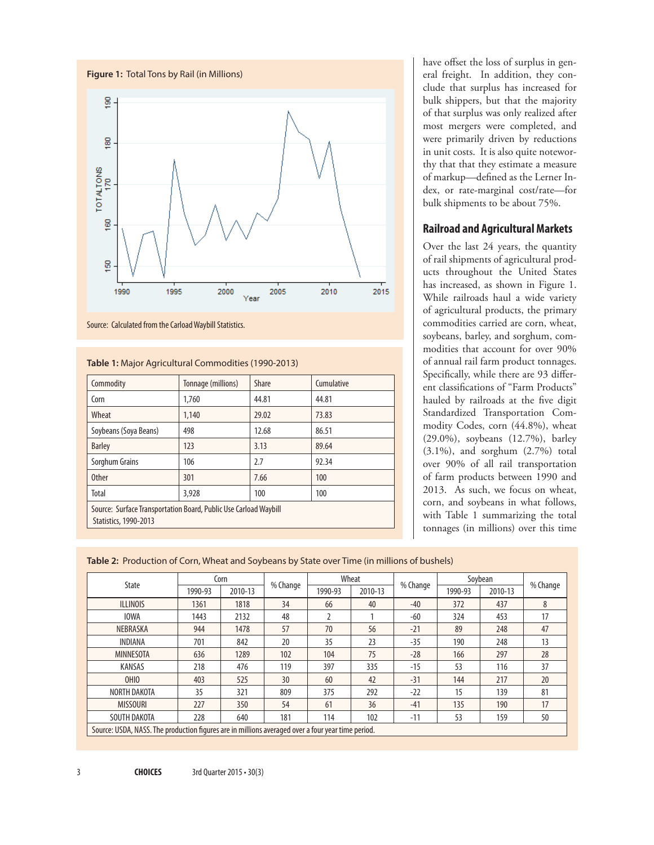

Source: Calculated from the Carload Waybill Statistics.

#### **Table 1:** Major Agricultural Commodities (1990-2013)

| Commodity                                                                                        | Tonnage (millions) | Share | Cumulative |  |  |  |  |  |  |
|--------------------------------------------------------------------------------------------------|--------------------|-------|------------|--|--|--|--|--|--|
| Corn                                                                                             | 1,760              | 44.81 | 44.81      |  |  |  |  |  |  |
| Wheat                                                                                            | 1,140              | 29.02 | 73.83      |  |  |  |  |  |  |
| Soybeans (Soya Beans)                                                                            | 498                | 12.68 | 86.51      |  |  |  |  |  |  |
| <b>Barley</b>                                                                                    | 123                | 3.13  | 89.64      |  |  |  |  |  |  |
| Sorghum Grains                                                                                   | 106                | 2.7   | 92.34      |  |  |  |  |  |  |
| <b>Other</b>                                                                                     | 301                | 7.66  | 100        |  |  |  |  |  |  |
| Total                                                                                            | 3,928              | 100   | 100        |  |  |  |  |  |  |
| Source: Surface Transportation Board, Public Use Carload Waybill<br><b>Statistics, 1990-2013</b> |                    |       |            |  |  |  |  |  |  |

have offset the loss of surplus in general freight. In addition, they conclude that surplus has increased for bulk shippers, but that the majority of that surplus was only realized after most mergers were completed, and were primarily driven by reductions in unit costs. It is also quite noteworthy that that they estimate a measure of markup—defined as the Lerner Index, or rate-marginal cost/rate—for bulk shipments to be about 75%.

#### **Railroad and Agricultural Markets**

Over the last 24 years, the quantity of rail shipments of agricultural products throughout the United States has increased, as shown in Figure 1. While railroads haul a wide variety of agricultural products, the primary commodities carried are corn, wheat, soybeans, barley, and sorghum, commodities that account for over 90% of annual rail farm product tonnages. Specifically, while there are 93 different classifications of "Farm Products" hauled by railroads at the five digit Standardized Transportation Commodity Codes, corn (44.8%), wheat (29.0%), soybeans (12.7%), barley (3.1%), and sorghum (2.7%) total over 90% of all rail transportation of farm products between 1990 and 2013. As such, we focus on wheat, corn, and soybeans in what follows, with Table 1 summarizing the total tonnages (in millions) over this time

|  | Table 2: Production of Corn, Wheat and Soybeans by State over Time (in millions of bushels) |  |  |  |
|--|---------------------------------------------------------------------------------------------|--|--|--|
|  |                                                                                             |  |  |  |

| State                                                                                             | Corn    |         |          | Wheat   |         |          | Soybean |         |          |
|---------------------------------------------------------------------------------------------------|---------|---------|----------|---------|---------|----------|---------|---------|----------|
|                                                                                                   | 1990-93 | 2010-13 | % Change | 1990-93 | 2010-13 | % Change | 1990-93 | 2010-13 | % Change |
| <b>ILLINOIS</b>                                                                                   | 1361    | 1818    | 34       | 66      | 40      | $-40$    | 372     | 437     | 8        |
| <b>IOWA</b>                                                                                       | 1443    | 2132    | 48       |         |         | $-60$    | 324     | 453     | 17       |
| NEBRASKA                                                                                          | 944     | 1478    | 57       | 70      | 56      | $-21$    | 89      | 248     | 47       |
| INDIANA                                                                                           | 701     | 842     | 20       | 35      | 23      | $-35$    | 190     | 248     | 13       |
| MINNESOTA                                                                                         | 636     | 1289    | 102      | 104     | 75      | $-28$    | 166     | 297     | 28       |
| <b>KANSAS</b>                                                                                     | 218     | 476     | 119      | 397     | 335     | $-15$    | 53      | 116     | 37       |
| OHIO                                                                                              | 403     | 525     | 30       | 60      | 42      | $-31$    | 144     | 217     | 20       |
| NORTH DAKOTA                                                                                      | 35      | 321     | 809      | 375     | 292     | $-22$    | 15      | 139     | 81       |
| <b>MISSOURI</b>                                                                                   | 227     | 350     | 54       | 61      | 36      | $-41$    | 135     | 190     | 17       |
| SOUTH DAKOTA                                                                                      | 228     | 640     | 181      | 114     | 102     | $-11$    | 53      | 159     | 50       |
| Source: USDA, NASS. The production figures are in millions averaged over a four year time period. |         |         |          |         |         |          |         |         |          |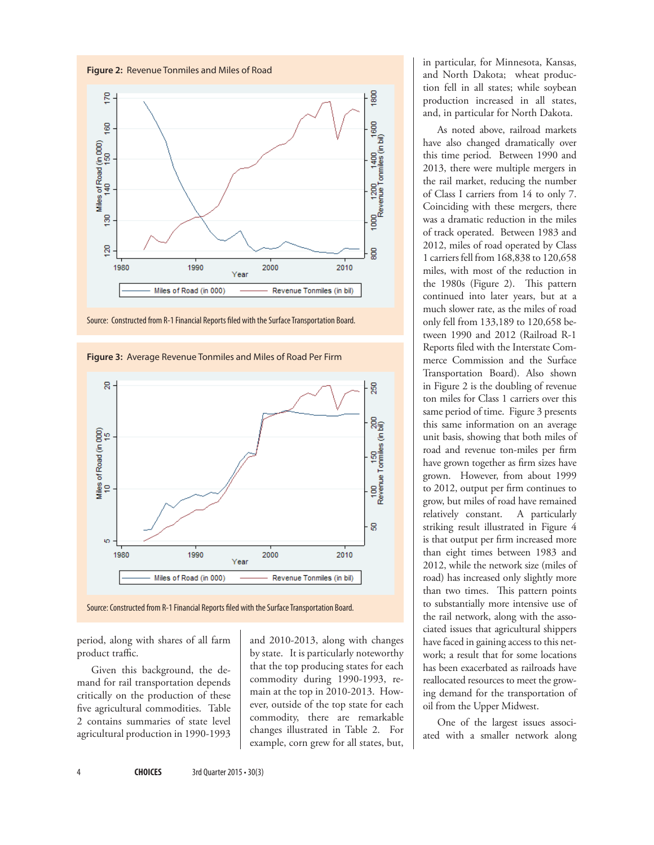

Source: Constructed from R-1 Financial Reports filed with the Surface Transportation Board.



**Figure 3:** Average Revenue Tonmiles and Miles of Road Per Firm

period, along with shares of all farm product traffic.

Given this background, the demand for rail transportation depends critically on the production of these five agricultural commodities. Table 2 contains summaries of state level agricultural production in 1990-1993

and 2010-2013, along with changes by state. It is particularly noteworthy that the top producing states for each commodity during 1990-1993, remain at the top in 2010-2013. However, outside of the top state for each commodity, there are remarkable changes illustrated in Table 2. For example, corn grew for all states, but, in particular, for Minnesota, Kansas, and North Dakota; wheat production fell in all states; while soybean production increased in all states, and, in particular for North Dakota.

As noted above, railroad markets have also changed dramatically over this time period. Between 1990 and 2013, there were multiple mergers in the rail market, reducing the number of Class I carriers from 14 to only 7. Coinciding with these mergers, there was a dramatic reduction in the miles of track operated. Between 1983 and 2012, miles of road operated by Class 1 carriers fell from 168,838 to 120,658 miles, with most of the reduction in the 1980s (Figure 2). This pattern continued into later years, but at a much slower rate, as the miles of road only fell from 133,189 to 120,658 between 1990 and 2012 (Railroad R-1 Reports filed with the Interstate Commerce Commission and the Surface Transportation Board). Also shown in Figure 2 is the doubling of revenue ton miles for Class 1 carriers over this same period of time. Figure 3 presents this same information on an average unit basis, showing that both miles of road and revenue ton-miles per firm have grown together as firm sizes have grown. However, from about 1999 to 2012, output per firm continues to grow, but miles of road have remained relatively constant. A particularly striking result illustrated in Figure 4 is that output per firm increased more than eight times between 1983 and 2012, while the network size (miles of road) has increased only slightly more than two times. This pattern points to substantially more intensive use of the rail network, along with the associated issues that agricultural shippers have faced in gaining access to this network; a result that for some locations has been exacerbated as railroads have reallocated resources to meet the growing demand for the transportation of oil from the Upper Midwest.

One of the largest issues associated with a smaller network along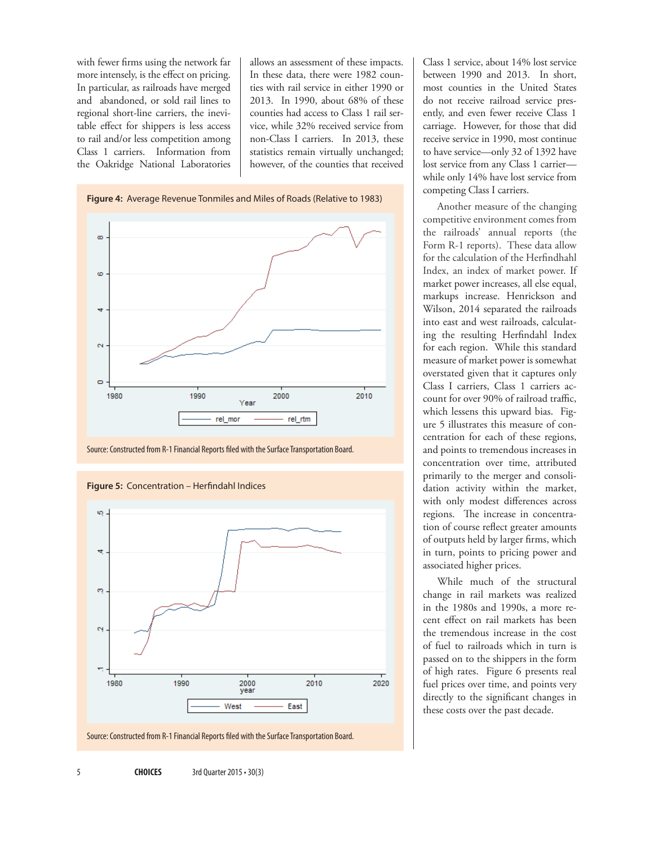with fewer firms using the network far more intensely, is the effect on pricing. In particular, as railroads have merged and abandoned, or sold rail lines to regional short-line carriers, the inevitable effect for shippers is less access to rail and/or less competition among Class 1 carriers. Information from the Oakridge National Laboratories

allows an assessment of these impacts. In these data, there were 1982 counties with rail service in either 1990 or 2013. In 1990, about 68% of these counties had access to Class 1 rail service, while 32% received service from non-Class I carriers. In 2013, these statistics remain virtually unchanged; however, of the counties that received







Source: Constructed from R-1 Financial Reports filed with the Surface Transportation Board.

Class 1 service, about 14% lost service between 1990 and 2013. In short, most counties in the United States do not receive railroad service presently, and even fewer receive Class 1 carriage. However, for those that did receive service in 1990, most continue to have service—only 32 of 1392 have lost service from any Class 1 carrier while only 14% have lost service from competing Class I carriers.

Another measure of the changing competitive environment comes from the railroads' annual reports (the Form R-1 reports). These data allow for the calculation of the Herfindhahl Index, an index of market power. If market power increases, all else equal, markups increase. Henrickson and Wilson, 2014 separated the railroads into east and west railroads, calculating the resulting Herfindahl Index for each region. While this standard measure of market power is somewhat overstated given that it captures only Class I carriers, Class 1 carriers account for over 90% of railroad traffic, which lessens this upward bias. Figure 5 illustrates this measure of concentration for each of these regions, and points to tremendous increases in concentration over time, attributed primarily to the merger and consolidation activity within the market, with only modest differences across regions. The increase in concentration of course reflect greater amounts of outputs held by larger firms, which in turn, points to pricing power and associated higher prices.

While much of the structural change in rail markets was realized in the 1980s and 1990s, a more recent effect on rail markets has been the tremendous increase in the cost of fuel to railroads which in turn is passed on to the shippers in the form of high rates. Figure 6 presents real fuel prices over time, and points very directly to the significant changes in these costs over the past decade.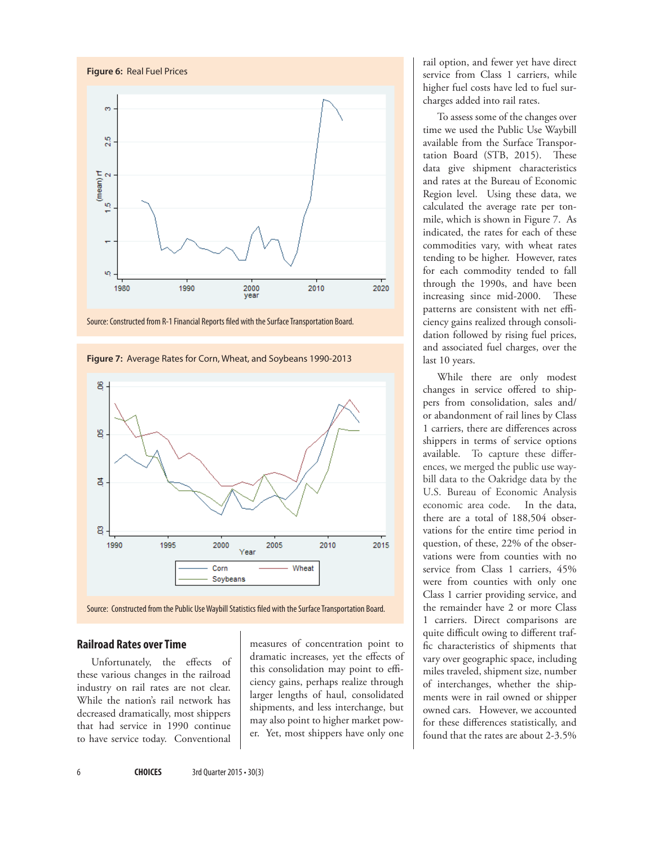









#### **Railroad Rates over Time**

Unfortunately, the effects of these various changes in the railroad industry on rail rates are not clear. While the nation's rail network has decreased dramatically, most shippers that had service in 1990 continue to have service today. Conventional

measures of concentration point to dramatic increases, yet the effects of this consolidation may point to efficiency gains, perhaps realize through larger lengths of haul, consolidated shipments, and less interchange, but may also point to higher market power. Yet, most shippers have only one

rail option, and fewer yet have direct service from Class 1 carriers, while higher fuel costs have led to fuel surcharges added into rail rates.

To assess some of the changes over time we used the Public Use Waybill available from the Surface Transportation Board (STB, 2015). These data give shipment characteristics and rates at the Bureau of Economic Region level. Using these data, we calculated the average rate per tonmile, which is shown in Figure 7. As indicated, the rates for each of these commodities vary, with wheat rates tending to be higher. However, rates for each commodity tended to fall through the 1990s, and have been increasing since mid-2000. These patterns are consistent with net efficiency gains realized through consolidation followed by rising fuel prices, and associated fuel charges, over the last 10 years.

While there are only modest changes in service offered to shippers from consolidation, sales and/ or abandonment of rail lines by Class 1 carriers, there are differences across shippers in terms of service options available. To capture these differences, we merged the public use waybill data to the Oakridge data by the U.S. Bureau of Economic Analysis economic area code. In the data, there are a total of 188,504 observations for the entire time period in question, of these, 22% of the observations were from counties with no service from Class 1 carriers, 45% were from counties with only one Class 1 carrier providing service, and the remainder have 2 or more Class 1 carriers. Direct comparisons are quite difficult owing to different traffic characteristics of shipments that vary over geographic space, including miles traveled, shipment size, number of interchanges, whether the shipments were in rail owned or shipper owned cars. However, we accounted for these differences statistically, and found that the rates are about 2-3.5%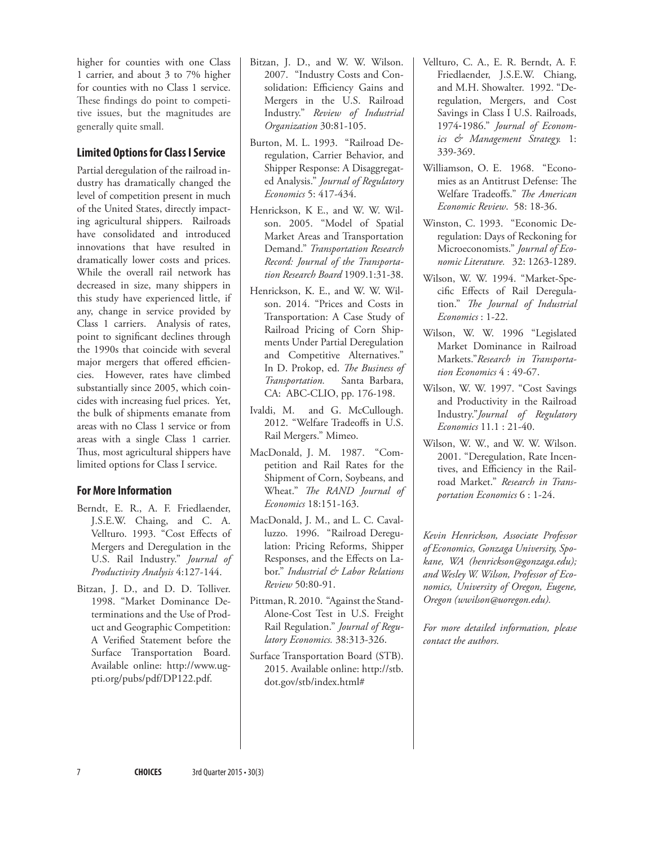higher for counties with one Class 1 carrier, and about 3 to 7% higher for counties with no Class 1 service. These findings do point to competitive issues, but the magnitudes are generally quite small.

## **Limited Options for Class I Service**

Partial deregulation of the railroad industry has dramatically changed the level of competition present in much of the United States, directly impacting agricultural shippers. Railroads have consolidated and introduced innovations that have resulted in dramatically lower costs and prices. While the overall rail network has decreased in size, many shippers in this study have experienced little, if any, change in service provided by Class 1 carriers. Analysis of rates, point to significant declines through the 1990s that coincide with several major mergers that offered efficiencies. However, rates have climbed substantially since 2005, which coincides with increasing fuel prices. Yet, the bulk of shipments emanate from areas with no Class 1 service or from areas with a single Class 1 carrier. Thus, most agricultural shippers have limited options for Class I service.

### **For More Information**

- Berndt, E. R., A. F. Friedlaender, J.S.E.W. Chaing, and C. A. Vellturo. 1993. "Cost Effects of Mergers and Deregulation in the U.S. Rail Industry." *Journal of Productivity Analysis* 4:127-144.
- Bitzan, J. D., and D. D. Tolliver. 1998. "Market Dominance Determinations and the Use of Product and Geographic Competition: A Verified Statement before the Surface Transportation Board. Available online: http://www.ugpti.org/pubs/pdf/DP122.pdf.
- Bitzan, J. D., and W. W. Wilson. 2007. "Industry Costs and Consolidation: Efficiency Gains and Mergers in the U.S. Railroad Industry." *Review of Industrial Organization* 30:81-105.
- Burton, M. L. 1993. "Railroad Deregulation, Carrier Behavior, and Shipper Response: A Disaggregated Analysis." *Journal of Regulatory Economics* 5: 417-434.
- Henrickson, K E., and W. W. Wilson. 2005. "Model of Spatial Market Areas and Transportation Demand." *Transportation Research Record: Journal of the Transportation Research Board* 1909.1:31-38.
- Henrickson, K. E., and W. W. Wilson. 2014. "Prices and Costs in Transportation: A Case Study of Railroad Pricing of Corn Shipments Under Partial Deregulation and Competitive Alternatives." In D. Prokop, ed. *The Business of Transportation.* Santa Barbara, CA: ABC-CLIO, pp. 176-198.
- Ivaldi, M. and G. McCullough. 2012. "Welfare Tradeoffs in U.S. Rail Mergers." Mimeo.
- MacDonald, J. M. 1987. "Competition and Rail Rates for the Shipment of Corn, Soybeans, and Wheat." *The RAND Journal of Economics* 18:151-163.
- MacDonald, J. M., and L. C. Cavalluzzo. 1996. "Railroad Deregulation: Pricing Reforms, Shipper Responses, and the Effects on Labor." *Industrial & Labor Relations Review* 50:80-91.
- Pittman, R. 2010. "Against the Stand-Alone-Cost Test in U.S. Freight Rail Regulation." *Journal of Regulatory Economics.* 38:313-326.
- Surface Transportation Board (STB). 2015. Available online: http://stb. dot.gov/stb/index.html#
- Vellturo, C. A., E. R. Berndt, A. F. Friedlaender, J.S.E.W. Chiang, and M.H. Showalter. 1992. "Deregulation, Mergers, and Cost Savings in Class I U.S. Railroads, 1974‐1986." *Journal of Economics & Management Strategy.* 1: 339-369.
- Williamson, O. E. 1968. "Economies as an Antitrust Defense: The Welfare Tradeoffs." *The American Economic Review*. 58: 18-36.
- Winston, C. 1993. "Economic Deregulation: Days of Reckoning for Microeconomists." *Journal of Economic Literature.* 32: 1263-1289.
- Wilson, W. W. 1994. "Market-Specific Effects of Rail Deregulation." *The Journal of Industrial Economics* : 1-22.
- Wilson, W. W. 1996 "Legislated Market Dominance in Railroad Markets."*Research in Transportation Economics* 4 : 49-67.
- Wilson, W. W. 1997. "Cost Savings and Productivity in the Railroad Industry."*Journal of Regulatory Economics* 11.1 : 21-40.
- Wilson, W. W., and W. W. Wilson. 2001. "Deregulation, Rate Incentives, and Efficiency in the Railroad Market." *Research in Transportation Economics* 6 : 1-24.

*Kevin Henrickson, Associate Professor of Economics, Gonzaga University, Spokane, WA (henrickson@gonzaga.edu); and Wesley W. Wilson, Professor of Economics, University of Oregon, Eugene, Oregon (wwilson@uoregon.edu).* 

*For more detailed information, please contact the authors.*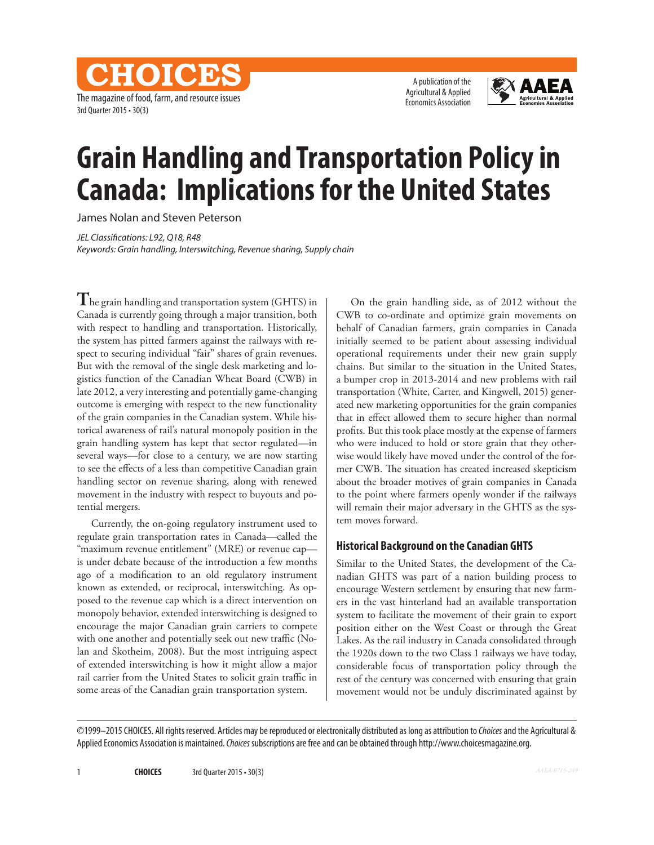The magazine of food, farm, and resource issues 3rd Quarter 2015 • 30(3)

CHOICES

A publication of the Agricultural & Applied Economics Association



# **Grain Handling and Transportation Policy in Canada: Implications for the United States**

James Nolan and Steven Peterson

*JEL Classifications: L92, Q18, R48 Keywords: Grain handling, Interswitching, Revenue sharing, Supply chain*

**T**he grain handling and transportation system (GHTS) in Canada is currently going through a major transition, both with respect to handling and transportation. Historically, the system has pitted farmers against the railways with respect to securing individual "fair" shares of grain revenues. But with the removal of the single desk marketing and logistics function of the Canadian Wheat Board (CWB) in late 2012, a very interesting and potentially game-changing outcome is emerging with respect to the new functionality of the grain companies in the Canadian system. While historical awareness of rail's natural monopoly position in the grain handling system has kept that sector regulated—in several ways—for close to a century, we are now starting to see the effects of a less than competitive Canadian grain handling sector on revenue sharing, along with renewed movement in the industry with respect to buyouts and potential mergers.

Currently, the on-going regulatory instrument used to regulate grain transportation rates in Canada—called the "maximum revenue entitlement" (MRE) or revenue cap is under debate because of the introduction a few months ago of a modification to an old regulatory instrument known as extended, or reciprocal, interswitching. As opposed to the revenue cap which is a direct intervention on monopoly behavior, extended interswitching is designed to encourage the major Canadian grain carriers to compete with one another and potentially seek out new traffic (Nolan and Skotheim, 2008). But the most intriguing aspect of extended interswitching is how it might allow a major rail carrier from the United States to solicit grain traffic in some areas of the Canadian grain transportation system.

On the grain handling side, as of 2012 without the CWB to co-ordinate and optimize grain movements on behalf of Canadian farmers, grain companies in Canada initially seemed to be patient about assessing individual operational requirements under their new grain supply chains. But similar to the situation in the United States, a bumper crop in 2013-2014 and new problems with rail transportation (White, Carter, and Kingwell, 2015) generated new marketing opportunities for the grain companies that in effect allowed them to secure higher than normal profits. But this took place mostly at the expense of farmers who were induced to hold or store grain that they otherwise would likely have moved under the control of the former CWB. The situation has created increased skepticism about the broader motives of grain companies in Canada to the point where farmers openly wonder if the railways will remain their major adversary in the GHTS as the system moves forward.

### **Historical Background on the Canadian GHTS**

Similar to the United States, the development of the Canadian GHTS was part of a nation building process to encourage Western settlement by ensuring that new farmers in the vast hinterland had an available transportation system to facilitate the movement of their grain to export position either on the West Coast or through the Great Lakes. As the rail industry in Canada consolidated through the 1920s down to the two Class 1 railways we have today, considerable focus of transportation policy through the rest of the century was concerned with ensuring that grain movement would not be unduly discriminated against by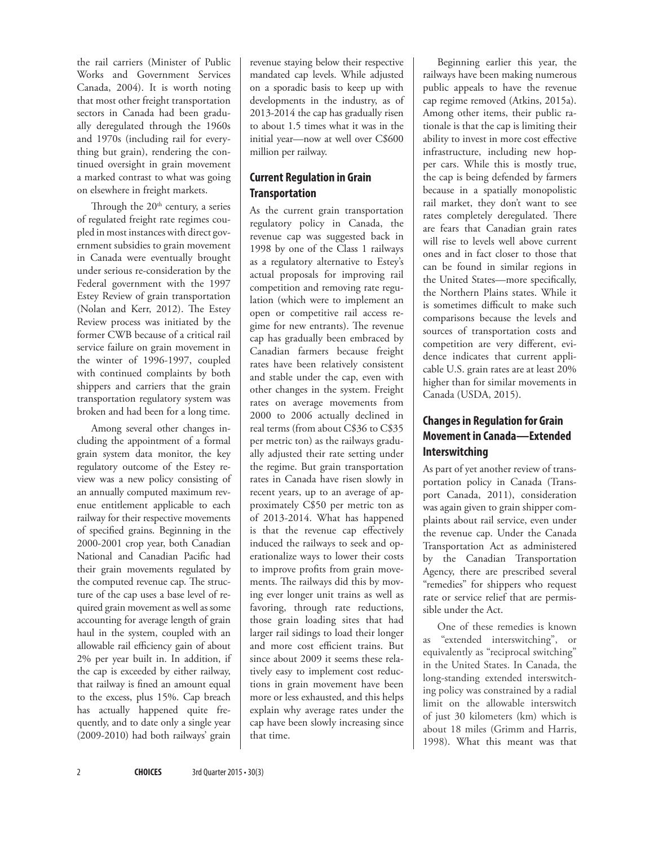the rail carriers (Minister of Public Works and Government Services Canada, 2004). It is worth noting that most other freight transportation sectors in Canada had been gradually deregulated through the 1960s and 1970s (including rail for everything but grain), rendering the continued oversight in grain movement a marked contrast to what was going on elsewhere in freight markets.

Through the  $20<sup>th</sup>$  century, a series of regulated freight rate regimes coupled in most instances with direct government subsidies to grain movement in Canada were eventually brought under serious re-consideration by the Federal government with the 1997 Estey Review of grain transportation (Nolan and Kerr, 2012). The Estey Review process was initiated by the former CWB because of a critical rail service failure on grain movement in the winter of 1996-1997, coupled with continued complaints by both shippers and carriers that the grain transportation regulatory system was broken and had been for a long time.

Among several other changes including the appointment of a formal grain system data monitor, the key regulatory outcome of the Estey review was a new policy consisting of an annually computed maximum revenue entitlement applicable to each railway for their respective movements of specified grains. Beginning in the 2000-2001 crop year, both Canadian National and Canadian Pacific had their grain movements regulated by the computed revenue cap. The structure of the cap uses a base level of required grain movement as well as some accounting for average length of grain haul in the system, coupled with an allowable rail efficiency gain of about 2% per year built in. In addition, if the cap is exceeded by either railway, that railway is fined an amount equal to the excess, plus 15%. Cap breach has actually happened quite frequently, and to date only a single year (2009-2010) had both railways' grain revenue staying below their respective mandated cap levels. While adjusted on a sporadic basis to keep up with developments in the industry, as of 2013-2014 the cap has gradually risen to about 1.5 times what it was in the initial year—now at well over C\$600 million per railway.

# **Current Regulation in Grain Transportation**

As the current grain transportation regulatory policy in Canada, the revenue cap was suggested back in 1998 by one of the Class 1 railways as a regulatory alternative to Estey's actual proposals for improving rail competition and removing rate regulation (which were to implement an open or competitive rail access regime for new entrants). The revenue cap has gradually been embraced by Canadian farmers because freight rates have been relatively consistent and stable under the cap, even with other changes in the system. Freight rates on average movements from 2000 to 2006 actually declined in real terms (from about C\$36 to C\$35 per metric ton) as the railways gradually adjusted their rate setting under the regime. But grain transportation rates in Canada have risen slowly in recent years, up to an average of approximately C\$50 per metric ton as of 2013-2014. What has happened is that the revenue cap effectively induced the railways to seek and operationalize ways to lower their costs to improve profits from grain movements. The railways did this by moving ever longer unit trains as well as favoring, through rate reductions, those grain loading sites that had larger rail sidings to load their longer and more cost efficient trains. But since about 2009 it seems these relatively easy to implement cost reductions in grain movement have been more or less exhausted, and this helps explain why average rates under the cap have been slowly increasing since that time.

Beginning earlier this year, the railways have been making numerous public appeals to have the revenue cap regime removed (Atkins, 2015a). Among other items, their public rationale is that the cap is limiting their ability to invest in more cost effective infrastructure, including new hopper cars. While this is mostly true, the cap is being defended by farmers because in a spatially monopolistic rail market, they don't want to see rates completely deregulated. There are fears that Canadian grain rates will rise to levels well above current ones and in fact closer to those that can be found in similar regions in the United States—more specifically, the Northern Plains states. While it is sometimes difficult to make such comparisons because the levels and sources of transportation costs and competition are very different, evidence indicates that current applicable U.S. grain rates are at least 20% higher than for similar movements in Canada (USDA, 2015).

# **Changes in Regulation for Grain Movement in Canada—Extended Interswitching**

As part of yet another review of transportation policy in Canada (Transport Canada, 2011), consideration was again given to grain shipper complaints about rail service, even under the revenue cap. Under the Canada Transportation Act as administered by the Canadian Transportation Agency, there are prescribed several "remedies" for shippers who request rate or service relief that are permissible under the Act.

One of these remedies is known as "extended interswitching", or equivalently as "reciprocal switching" in the United States. In Canada, the long-standing extended interswitching policy was constrained by a radial limit on the allowable interswitch of just 30 kilometers (km) which is about 18 miles (Grimm and Harris, 1998). What this meant was that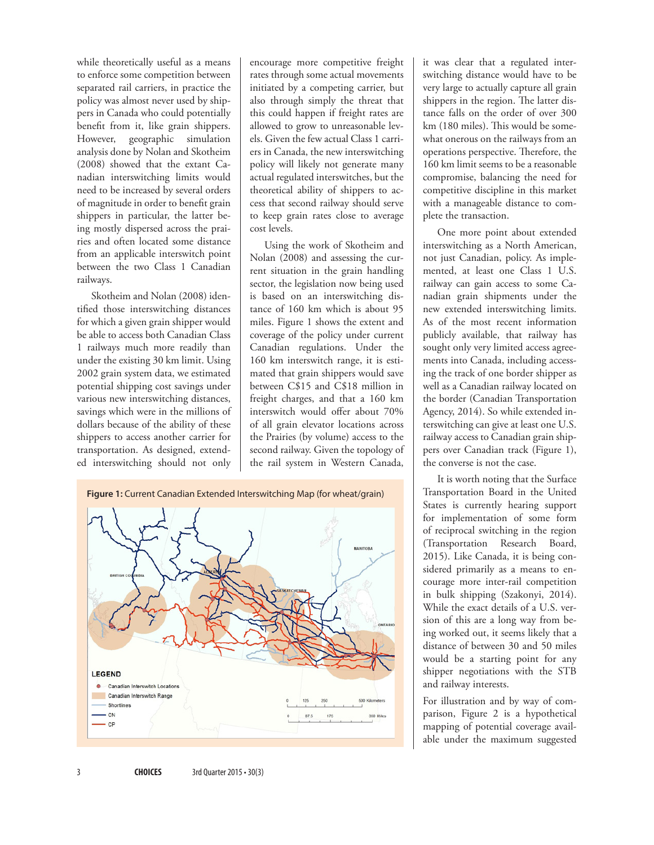while theoretically useful as a means to enforce some competition between separated rail carriers, in practice the policy was almost never used by shippers in Canada who could potentially benefit from it, like grain shippers. However, geographic simulation analysis done by Nolan and Skotheim (2008) showed that the extant Canadian interswitching limits would need to be increased by several orders of magnitude in order to benefit grain shippers in particular, the latter being mostly dispersed across the prairies and often located some distance from an applicable interswitch point between the two Class 1 Canadian railways.

Skotheim and Nolan (2008) identified those interswitching distances for which a given grain shipper would be able to access both Canadian Class 1 railways much more readily than under the existing 30 km limit. Using 2002 grain system data, we estimated potential shipping cost savings under various new interswitching distances, savings which were in the millions of dollars because of the ability of these shippers to access another carrier for transportation. As designed, extended interswitching should not only

encourage more competitive freight rates through some actual movements initiated by a competing carrier, but also through simply the threat that this could happen if freight rates are allowed to grow to unreasonable levels. Given the few actual Class 1 carriers in Canada, the new interswitching policy will likely not generate many actual regulated interswitches, but the theoretical ability of shippers to access that second railway should serve to keep grain rates close to average cost levels.

Using the work of Skotheim and Nolan (2008) and assessing the current situation in the grain handling sector, the legislation now being used is based on an interswitching distance of 160 km which is about 95 miles. Figure 1 shows the extent and coverage of the policy under current Canadian regulations. Under the 160 km interswitch range, it is estimated that grain shippers would save between C\$15 and C\$18 million in freight charges, and that a 160 km interswitch would offer about 70% of all grain elevator locations across the Prairies (by volume) access to the second railway. Given the topology of the rail system in Western Canada,



it was clear that a regulated interswitching distance would have to be very large to actually capture all grain shippers in the region. The latter distance falls on the order of over 300 km (180 miles). This would be somewhat onerous on the railways from an operations perspective. Therefore, the 160 km limit seems to be a reasonable compromise, balancing the need for competitive discipline in this market with a manageable distance to complete the transaction.

One more point about extended interswitching as a North American, not just Canadian, policy. As implemented, at least one Class 1 U.S. railway can gain access to some Canadian grain shipments under the new extended interswitching limits. As of the most recent information publicly available, that railway has sought only very limited access agreements into Canada, including accessing the track of one border shipper as well as a Canadian railway located on the border (Canadian Transportation Agency, 2014). So while extended interswitching can give at least one U.S. railway access to Canadian grain shippers over Canadian track (Figure 1), the converse is not the case.

It is worth noting that the Surface Transportation Board in the United States is currently hearing support for implementation of some form of reciprocal switching in the region (Transportation Research Board, 2015). Like Canada, it is being considered primarily as a means to encourage more inter-rail competition in bulk shipping (Szakonyi, 2014). While the exact details of a U.S. version of this are a long way from being worked out, it seems likely that a distance of between 30 and 50 miles would be a starting point for any shipper negotiations with the STB and railway interests.

For illustration and by way of comparison, Figure 2 is a hypothetical mapping of potential coverage available under the maximum suggested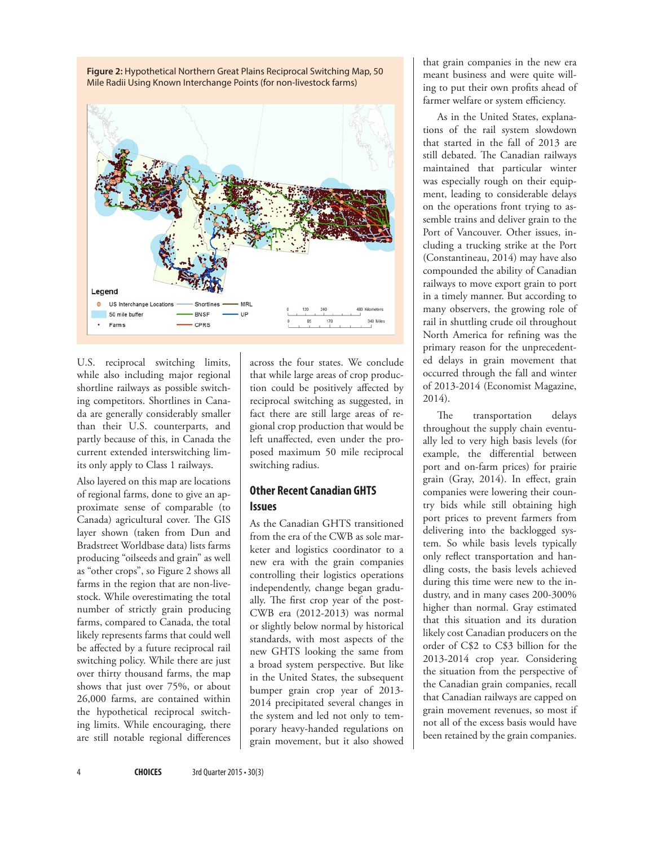

U.S. reciprocal switching limits, while also including major regional shortline railways as possible switching competitors. Shortlines in Canada are generally considerably smaller than their U.S. counterparts, and partly because of this, in Canada the current extended interswitching limits only apply to Class 1 railways.

Also layered on this map are locations of regional farms, done to give an approximate sense of comparable (to Canada) agricultural cover. The GIS layer shown (taken from Dun and Bradstreet Worldbase data) lists farms producing "oilseeds and grain" as well as "other crops", so Figure 2 shows all farms in the region that are non-livestock. While overestimating the total number of strictly grain producing farms, compared to Canada, the total likely represents farms that could well be affected by a future reciprocal rail switching policy. While there are just over thirty thousand farms, the map shows that just over 75%, or about 26,000 farms, are contained within the hypothetical reciprocal switching limits. While encouraging, there are still notable regional differences

across the four states. We conclude that while large areas of crop production could be positively affected by reciprocal switching as suggested, in fact there are still large areas of regional crop production that would be left unaffected, even under the proposed maximum 50 mile reciprocal switching radius.

### **Other Recent Canadian GHTS Issues**

As the Canadian GHTS transitioned from the era of the CWB as sole marketer and logistics coordinator to a new era with the grain companies controlling their logistics operations independently, change began gradually. The first crop year of the post-CWB era (2012-2013) was normal or slightly below normal by historical standards, with most aspects of the new GHTS looking the same from a broad system perspective. But like in the United States, the subsequent bumper grain crop year of 2013- 2014 precipitated several changes in the system and led not only to temporary heavy-handed regulations on grain movement, but it also showed that grain companies in the new era meant business and were quite willing to put their own profits ahead of farmer welfare or system efficiency.

As in the United States, explanations of the rail system slowdown that started in the fall of 2013 are still debated. The Canadian railways maintained that particular winter was especially rough on their equipment, leading to considerable delays on the operations front trying to assemble trains and deliver grain to the Port of Vancouver. Other issues, including a trucking strike at the Port (Constantineau, 2014) may have also compounded the ability of Canadian railways to move export grain to port in a timely manner. But according to many observers, the growing role of rail in shuttling crude oil throughout North America for refining was the primary reason for the unprecedented delays in grain movement that occurred through the fall and winter of 2013-2014 (Economist Magazine, 2014).

The transportation delays throughout the supply chain eventually led to very high basis levels (for example, the differential between port and on-farm prices) for prairie grain (Gray, 2014). In effect, grain companies were lowering their country bids while still obtaining high port prices to prevent farmers from delivering into the backlogged system. So while basis levels typically only reflect transportation and handling costs, the basis levels achieved during this time were new to the industry, and in many cases 200-300% higher than normal. Gray estimated that this situation and its duration likely cost Canadian producers on the order of C\$2 to C\$3 billion for the 2013-2014 crop year. Considering the situation from the perspective of the Canadian grain companies, recall that Canadian railways are capped on grain movement revenues, so most if not all of the excess basis would have been retained by the grain companies.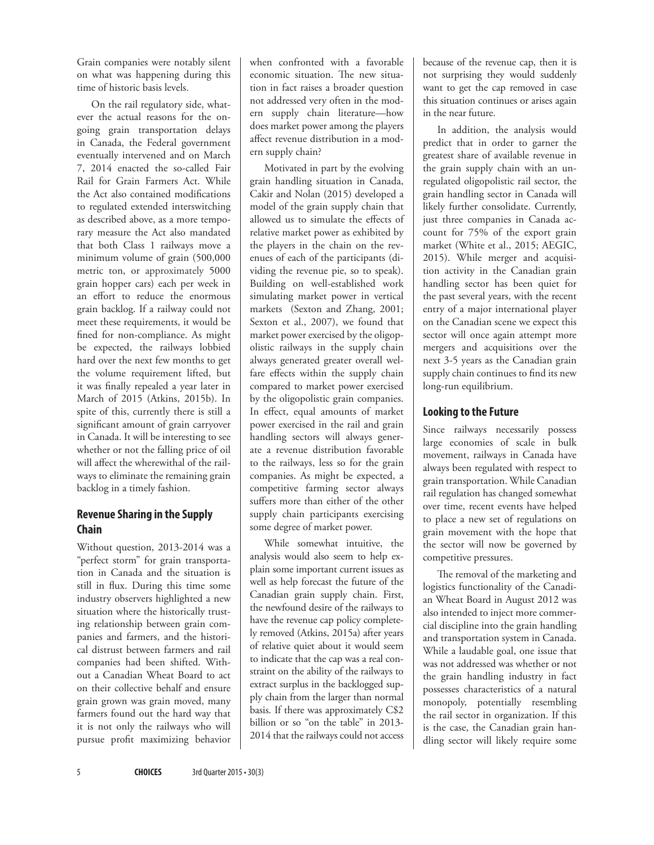Grain companies were notably silent on what was happening during this time of historic basis levels.

On the rail regulatory side, whatever the actual reasons for the ongoing grain transportation delays in Canada, the Federal government eventually intervened and on March 7, 2014 enacted the so-called Fair Rail for Grain Farmers Act. While the Act also contained modifications to regulated extended interswitching as described above, as a more temporary measure the Act also mandated that both Class 1 railways move a minimum volume of grain (500,000 metric ton, or approximately 5000 grain hopper cars) each per week in an effort to reduce the enormous grain backlog. If a railway could not meet these requirements, it would be fined for non-compliance. As might be expected, the railways lobbied hard over the next few months to get the volume requirement lifted, but it was finally repealed a year later in March of 2015 (Atkins, 2015b). In spite of this, currently there is still a significant amount of grain carryover in Canada. It will be interesting to see whether or not the falling price of oil will affect the wherewithal of the railways to eliminate the remaining grain backlog in a timely fashion.

# **Revenue Sharing in the Supply Chain**

Without question, 2013-2014 was a "perfect storm" for grain transportation in Canada and the situation is still in flux. During this time some industry observers highlighted a new situation where the historically trusting relationship between grain companies and farmers, and the historical distrust between farmers and rail companies had been shifted. Without a Canadian Wheat Board to act on their collective behalf and ensure grain grown was grain moved, many farmers found out the hard way that it is not only the railways who will pursue profit maximizing behavior

when confronted with a favorable economic situation. The new situation in fact raises a broader question not addressed very often in the modern supply chain literature—how does market power among the players affect revenue distribution in a modern supply chain?

Motivated in part by the evolving grain handling situation in Canada, Cakir and Nolan (2015) developed a model of the grain supply chain that allowed us to simulate the effects of relative market power as exhibited by the players in the chain on the revenues of each of the participants (dividing the revenue pie, so to speak). Building on well-established work simulating market power in vertical markets (Sexton and Zhang, 2001; Sexton et al., 2007), we found that market power exercised by the oligopolistic railways in the supply chain always generated greater overall welfare effects within the supply chain compared to market power exercised by the oligopolistic grain companies. In effect, equal amounts of market power exercised in the rail and grain handling sectors will always generate a revenue distribution favorable to the railways, less so for the grain companies. As might be expected, a competitive farming sector always suffers more than either of the other supply chain participants exercising some degree of market power.

While somewhat intuitive, the analysis would also seem to help explain some important current issues as well as help forecast the future of the Canadian grain supply chain. First, the newfound desire of the railways to have the revenue cap policy completely removed (Atkins, 2015a) after years of relative quiet about it would seem to indicate that the cap was a real constraint on the ability of the railways to extract surplus in the backlogged supply chain from the larger than normal basis. If there was approximately C\$2 billion or so "on the table" in 2013- 2014 that the railways could not access

because of the revenue cap, then it is not surprising they would suddenly want to get the cap removed in case this situation continues or arises again in the near future.

In addition, the analysis would predict that in order to garner the greatest share of available revenue in the grain supply chain with an unregulated oligopolistic rail sector, the grain handling sector in Canada will likely further consolidate. Currently, just three companies in Canada account for 75% of the export grain market (White et al., 2015; AEGIC, 2015). While merger and acquisition activity in the Canadian grain handling sector has been quiet for the past several years, with the recent entry of a major international player on the Canadian scene we expect this sector will once again attempt more mergers and acquisitions over the next 3-5 years as the Canadian grain supply chain continues to find its new long-run equilibrium.

# **Looking to the Future**

Since railways necessarily possess large economies of scale in bulk movement, railways in Canada have always been regulated with respect to grain transportation. While Canadian rail regulation has changed somewhat over time, recent events have helped to place a new set of regulations on grain movement with the hope that the sector will now be governed by competitive pressures.

The removal of the marketing and logistics functionality of the Canadian Wheat Board in August 2012 was also intended to inject more commercial discipline into the grain handling and transportation system in Canada. While a laudable goal, one issue that was not addressed was whether or not the grain handling industry in fact possesses characteristics of a natural monopoly, potentially resembling the rail sector in organization. If this is the case, the Canadian grain handling sector will likely require some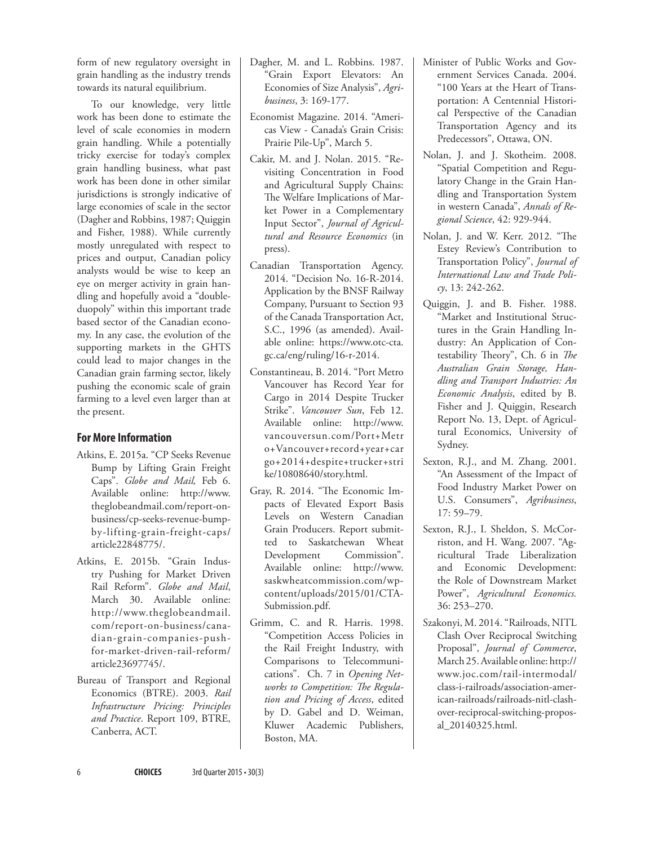form of new regulatory oversight in grain handling as the industry trends towards its natural equilibrium.

To our knowledge, very little work has been done to estimate the level of scale economies in modern grain handling. While a potentially tricky exercise for today's complex grain handling business, what past work has been done in other similar jurisdictions is strongly indicative of large economies of scale in the sector (Dagher and Robbins, 1987; Quiggin and Fisher, 1988). While currently mostly unregulated with respect to prices and output, Canadian policy analysts would be wise to keep an eye on merger activity in grain handling and hopefully avoid a "doubleduopoly" within this important trade based sector of the Canadian economy. In any case, the evolution of the supporting markets in the GHTS could lead to major changes in the Canadian grain farming sector, likely pushing the economic scale of grain farming to a level even larger than at the present.

## **For More Information**

- Atkins, E. 2015a. "CP Seeks Revenue Bump by Lifting Grain Freight Caps". *Globe and Mail,* Feb 6. Available online: http://www. theglobeandmail.com/report-onbusiness/cp-seeks-revenue-bumpby-lifting-grain-freight-caps/ article22848775/.
- Atkins, E. 2015b. "Grain Industry Pushing for Market Driven Rail Reform". *Globe and Mail*, March 30. Available online: http://www.theglobeandmail. com/report-on-business/canadian-grain-companies-pushfor-market-driven-rail-reform/ article23697745/.
- Bureau of Transport and Regional Economics (BTRE). 2003. *Rail Infrastructure Pricing: Principles and Practice*. Report 109, BTRE, Canberra, ACT.
- Dagher, M. and L. Robbins. 1987. "Grain Export Elevators: An Economies of Size Analysis", *Agribusiness*, 3: 169-177.
- Economist Magazine. 2014. "Americas View - Canada's Grain Crisis: Prairie Pile-Up", March 5.
- Cakir, M. and J. Nolan. 2015. "Revisiting Concentration in Food and Agricultural Supply Chains: The Welfare Implications of Market Power in a Complementary Input Sector", *Journal of Agricultural and Resource Economics* (in press).
- Canadian Transportation Agency. 2014. "Decision No. 16-R-2014. Application by the BNSF Railway Company, Pursuant to Section 93 of the Canada Transportation Act, S.C., 1996 (as amended). Available online: https://www.otc-cta. gc.ca/eng/ruling/16-r-2014.
- Constantineau, B. 2014. "Port Metro Vancouver has Record Year for Cargo in 2014 Despite Trucker Strike". *Vancouver Sun*, Feb 12. Available online: http://www. vancouversun.com/Port+Metr o+Vancouver+record+year+car go+2014+despite+trucker+stri ke/10808640/story.html.
- Gray, R. 2014. "The Economic Impacts of Elevated Export Basis Levels on Western Canadian Grain Producers. Report submitted to Saskatchewan Wheat Development Commission". Available online: http://www. saskwheatcommission.com/wpcontent/uploads/2015/01/CTA-Submission.pdf.
- Grimm, C. and R. Harris. 1998. "Competition Access Policies in the Rail Freight Industry, with Comparisons to Telecommunications". Ch. 7 in *Opening Networks to Competition: The Regulation and Pricing of Access*, edited by D. Gabel and D. Weiman, Kluwer Academic Publishers, Boston, MA.
- Minister of Public Works and Government Services Canada. 2004. "100 Years at the Heart of Transportation: A Centennial Historical Perspective of the Canadian Transportation Agency and its Predecessors", Ottawa, ON.
- Nolan, J. and J. Skotheim. 2008. "Spatial Competition and Regulatory Change in the Grain Handling and Transportation System in western Canada", *Annals of Regional Science*, 42: 929-944.
- Nolan, J. and W. Kerr. 2012. "The Estey Review's Contribution to Transportation Policy", *Journal of International Law and Trade Policy*, 13: 242-262.
- Quiggin, J. and B. Fisher. 1988. "Market and Institutional Structures in the Grain Handling Industry: An Application of Contestability Theory", Ch. 6 in *The Australian Grain Storage, Handling and Transport Industries: An Economic Analysis*, edited by B. Fisher and J. Quiggin, Research Report No. 13, Dept. of Agricultural Economics, University of Sydney.
- Sexton, R.J., and M. Zhang. 2001. "An Assessment of the Impact of Food Industry Market Power on U.S. Consumers", *Agribusiness*, 17: 59–79.
- Sexton, R.J., I. Sheldon, S. McCorriston, and H. Wang. 2007. "Agricultural Trade Liberalization and Economic Development: the Role of Downstream Market Power", *Agricultural Economics.* 36: 253–270.
- Szakonyi, M. 2014. "Railroads, NITL Clash Over Reciprocal Switching Proposal", *Journal of Commerce*, March 25. Available online: http:// www.joc.com/rail-intermodal/ class-i-railroads/association-american-railroads/railroads-nitl-clashover-reciprocal-switching-proposal\_20140325.html.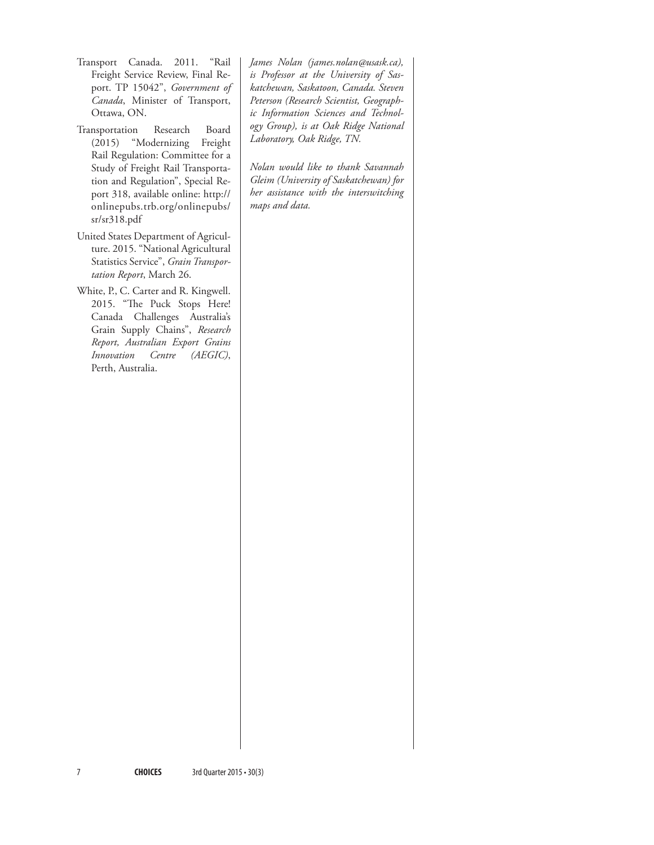- Transport Canada. 2011. "Rail Freight Service Review, Final Report. TP 15042", *Government of Canada*, Minister of Transport, Ottawa, ON.
- Transportation Research Board (2015) "Modernizing Freight Rail Regulation: Committee for a Study of Freight Rail Transportation and Regulation", Special Report 318, available online: http:// onlinepubs.trb.org/onlinepubs/ sr/sr318.pdf
- United States Department of Agriculture. 2015. "National Agricultural Statistics Service", *Grain Transportation Report*, March 26.
- White, P., C. Carter and R. Kingwell. 2015. "The Puck Stops Here! Canada Challenges Australia's Grain Supply Chains", *Research Report, Australian Export Grains Innovation Centre (AEGIC)*, Perth, Australia.

*James Nolan (james.nolan@usask.ca), is Professor at the University of Saskatchewan, Saskatoon, Canada. Steven Peterson (Research Scientist, Geographic Information Sciences and Technology Group), is at Oak Ridge National Laboratory, Oak Ridge, TN.* 

*Nolan would like to thank Savannah Gleim (University of Saskatchewan) for her assistance with the interswitching maps and data.*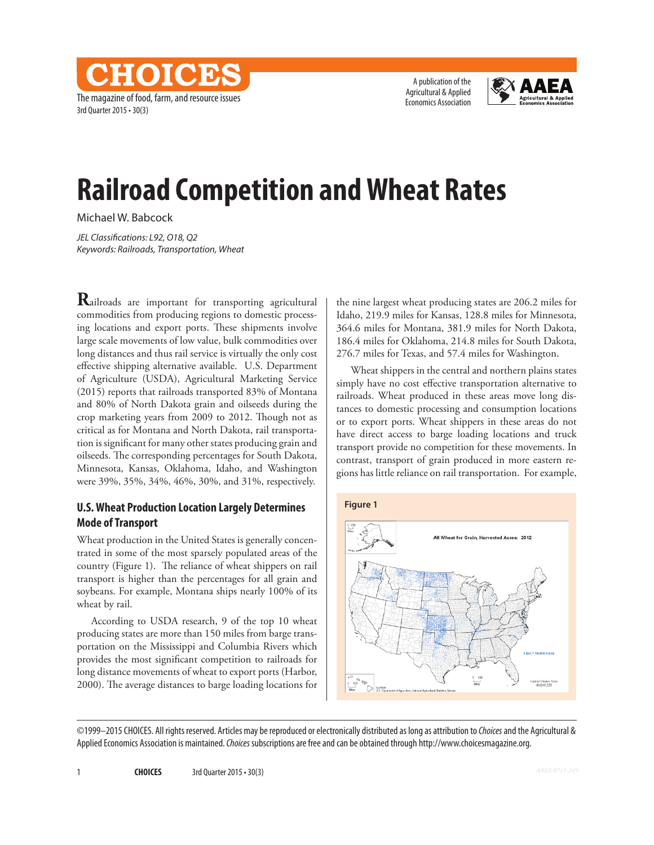The magazine of food, farm, and resource issues 3rd Quarter 2015 • 30(3)

NHOIOD

A publication of the Agricultural & Applied Economics Association



# **Railroad Competition and Wheat Rates**

Michael W. Babcock

*JEL Classifications: L92, O18, Q2 Keywords: Railroads, Transportation, Wheat*

**R**ailroads are important for transporting agricultural commodities from producing regions to domestic processing locations and export ports. These shipments involve large scale movements of low value, bulk commodities over long distances and thus rail service is virtually the only cost effective shipping alternative available. U.S. Department of Agriculture (USDA), Agricultural Marketing Service (2015) reports that railroads transported 83% of Montana and 80% of North Dakota grain and oilseeds during the crop marketing years from 2009 to 2012. Though not as critical as for Montana and North Dakota, rail transportation is significant for many other states producing grain and oilseeds. The corresponding percentages for South Dakota, Minnesota, Kansas, Oklahoma, Idaho, and Washington were 39%, 35%, 34%, 46%, 30%, and 31%, respectively.

### **U.S. Wheat Production Location Largely Determines Mode of Transport**

Wheat production in the United States is generally concentrated in some of the most sparsely populated areas of the country (Figure 1). The reliance of wheat shippers on rail transport is higher than the percentages for all grain and soybeans. For example, Montana ships nearly 100% of its wheat by rail.

According to USDA research, 9 of the top 10 wheat producing states are more than 150 miles from barge transportation on the Mississippi and Columbia Rivers which provides the most significant competition to railroads for long distance movements of wheat to export ports (Harbor, 2000). The average distances to barge loading locations for

the nine largest wheat producing states are 206.2 miles for Idaho, 219.9 miles for Kansas, 128.8 miles for Minnesota, 364.6 miles for Montana, 381.9 miles for North Dakota, 186.4 miles for Oklahoma, 214.8 miles for South Dakota, 276.7 miles for Texas, and 57.4 miles for Washington.

Wheat shippers in the central and northern plains states simply have no cost effective transportation alternative to railroads. Wheat produced in these areas move long distances to domestic processing and consumption locations or to export ports. Wheat shippers in these areas do not have direct access to barge loading locations and truck transport provide no competition for these movements. In contrast, transport of grain produced in more eastern regions has little reliance on rail transportation. For example,



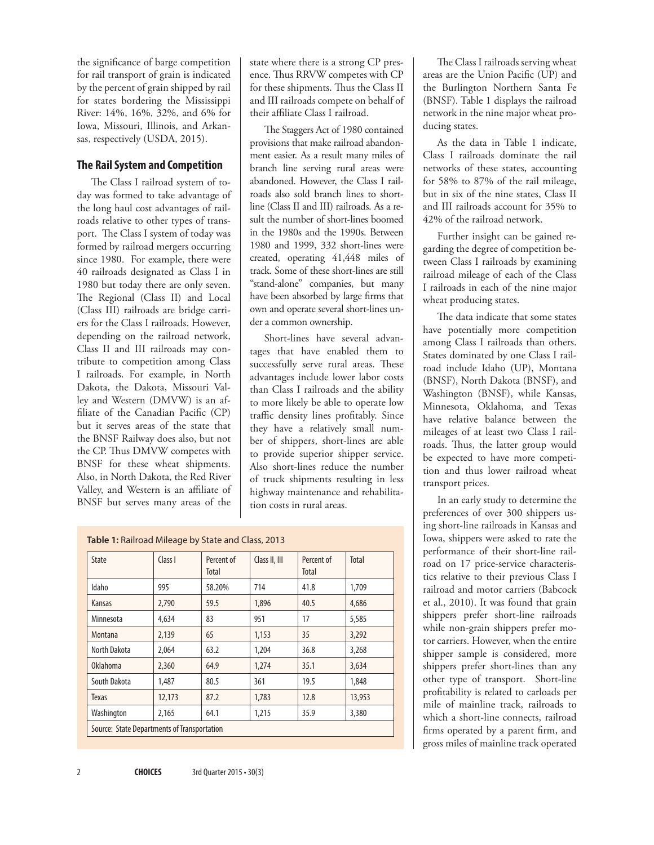the significance of barge competition for rail transport of grain is indicated by the percent of grain shipped by rail for states bordering the Mississippi River: 14%, 16%, 32%, and 6% for Iowa, Missouri, Illinois, and Arkansas, respectively (USDA, 2015).

#### **The Rail System and Competition**

The Class I railroad system of today was formed to take advantage of the long haul cost advantages of railroads relative to other types of transport. The Class I system of today was formed by railroad mergers occurring since 1980. For example, there were 40 railroads designated as Class I in 1980 but today there are only seven. The Regional (Class II) and Local (Class III) railroads are bridge carriers for the Class I railroads. However, depending on the railroad network, Class II and III railroads may contribute to competition among Class I railroads. For example, in North Dakota, the Dakota, Missouri Valley and Western (DMVW) is an affiliate of the Canadian Pacific (CP) but it serves areas of the state that the BNSF Railway does also, but not the CP. Thus DMVW competes with BNSF for these wheat shipments. Also, in North Dakota, the Red River Valley, and Western is an affiliate of BNSF but serves many areas of the

state where there is a strong CP presence. Thus RRVW competes with CP for these shipments. Thus the Class II and III railroads compete on behalf of their affiliate Class I railroad.

The Staggers Act of 1980 contained provisions that make railroad abandonment easier. As a result many miles of branch line serving rural areas were abandoned. However, the Class I railroads also sold branch lines to shortline (Class II and III) railroads. As a result the number of short-lines boomed in the 1980s and the 1990s. Between 1980 and 1999, 332 short-lines were created, operating 41,448 miles of track. Some of these short-lines are still "stand-alone" companies, but many have been absorbed by large firms that own and operate several short-lines under a common ownership.

Short-lines have several advantages that have enabled them to successfully serve rural areas. These advantages include lower labor costs than Class I railroads and the ability to more likely be able to operate low traffic density lines profitably. Since they have a relatively small number of shippers, short-lines are able to provide superior shipper service. Also short-lines reduce the number of truck shipments resulting in less highway maintenance and rehabilitation costs in rural areas.

| Table 1: Railroad Mileage by State and Class, 2013 |  |
|----------------------------------------------------|--|
|----------------------------------------------------|--|

| <b>State</b>                                | Class I | Percent of<br>Total | Class II, III | Percent of<br>Total | Total  |  |  |  |
|---------------------------------------------|---------|---------------------|---------------|---------------------|--------|--|--|--|
| Idaho                                       | 995     | 58.20%              | 714           | 41.8                | 1,709  |  |  |  |
| Kansas                                      | 2,790   | 59.5                | 1.896         | 40.5                | 4,686  |  |  |  |
| Minnesota                                   | 4,634   | 83                  | 951           | 17                  | 5,585  |  |  |  |
| Montana                                     | 2,139   | 65                  | 1,153         | 35                  | 3,292  |  |  |  |
| North Dakota                                | 2,064   | 63.2                | 1,204         | 36.8                | 3,268  |  |  |  |
| <b>Oklahoma</b>                             | 2,360   | 64.9                | 1,274         | 35.1                | 3,634  |  |  |  |
| South Dakota                                | 1.487   | 80.5                | 361           | 19.5                | 1,848  |  |  |  |
| Texas                                       | 12,173  | 87.2                | 1,783         | 12.8                | 13,953 |  |  |  |
| Washington                                  | 2,165   | 64.1                | 1,215         | 35.9                | 3,380  |  |  |  |
| Source: State Departments of Transportation |         |                     |               |                     |        |  |  |  |

The Class I railroads serving wheat areas are the Union Pacific (UP) and the Burlington Northern Santa Fe (BNSF). Table 1 displays the railroad network in the nine major wheat producing states.

As the data in Table 1 indicate, Class I railroads dominate the rail networks of these states, accounting for 58% to 87% of the rail mileage, but in six of the nine states, Class II and III railroads account for 35% to 42% of the railroad network.

Further insight can be gained regarding the degree of competition between Class I railroads by examining railroad mileage of each of the Class I railroads in each of the nine major wheat producing states.

The data indicate that some states have potentially more competition among Class I railroads than others. States dominated by one Class I railroad include Idaho (UP), Montana (BNSF), North Dakota (BNSF), and Washington (BNSF), while Kansas, Minnesota, Oklahoma, and Texas have relative balance between the mileages of at least two Class I railroads. Thus, the latter group would be expected to have more competition and thus lower railroad wheat transport prices.

In an early study to determine the preferences of over 300 shippers using short-line railroads in Kansas and Iowa, shippers were asked to rate the performance of their short-line railroad on 17 price-service characteristics relative to their previous Class I railroad and motor carriers (Babcock et al., 2010). It was found that grain shippers prefer short-line railroads while non-grain shippers prefer motor carriers. However, when the entire shipper sample is considered, more shippers prefer short-lines than any other type of transport. Short-line profitability is related to carloads per mile of mainline track, railroads to which a short-line connects, railroad firms operated by a parent firm, and gross miles of mainline track operated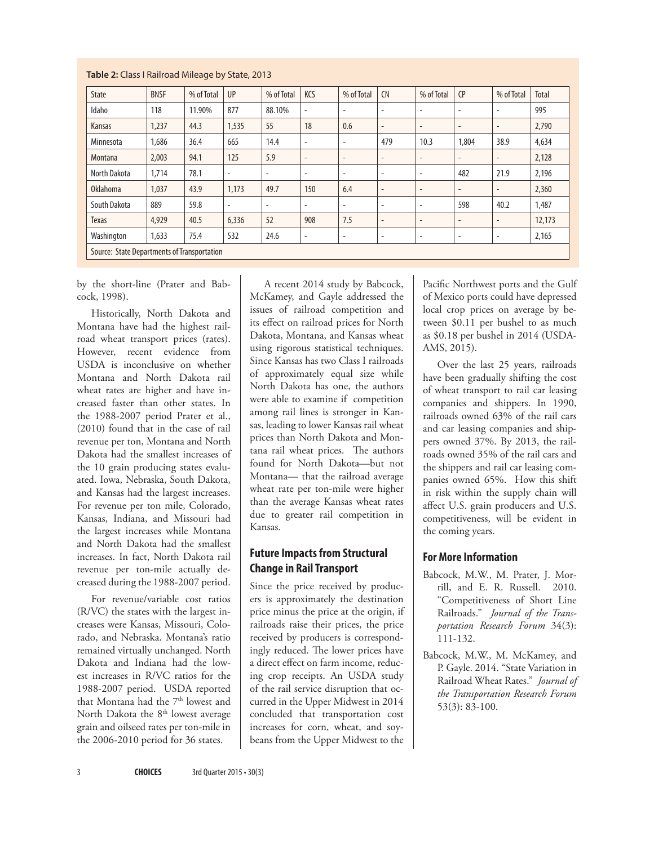| State                                       | <b>BNSF</b> | % of Total | UP                       | % of Total               | KCS                      | % of Total               | <b>CN</b>                | % of Total               | CP                       | % of Total               | Total  |
|---------------------------------------------|-------------|------------|--------------------------|--------------------------|--------------------------|--------------------------|--------------------------|--------------------------|--------------------------|--------------------------|--------|
| Idaho                                       | 118         | 11.90%     | 877                      | 88.10%                   | $\overline{\phantom{a}}$ | $\overline{\phantom{a}}$ | $\overline{\phantom{a}}$ | $\overline{a}$           | $\overline{\phantom{a}}$ | $\overline{\phantom{a}}$ | 995    |
| Kansas                                      | 1,237       | 44.3       | 1,535                    | 55                       | 18                       | 0.6                      | $\overline{\phantom{a}}$ | $\overline{\phantom{a}}$ | $\overline{\phantom{a}}$ | $\overline{\phantom{a}}$ | 2,790  |
| Minnesota                                   | 1.686       | 36.4       | 665                      | 14.4                     | ٠                        | $\overline{\phantom{a}}$ | 479                      | 10.3                     | 1,804                    | 38.9                     | 4,634  |
| Montana                                     | 2,003       | 94.1       | 125                      | 5.9                      | $\overline{\phantom{a}}$ | $\overline{\phantom{a}}$ | $\overline{\phantom{a}}$ | $\overline{\phantom{m}}$ | $\overline{\phantom{a}}$ | $\overline{\phantom{a}}$ | 2,128  |
| North Dakota                                | 1,714       | 78.1       | $\overline{\phantom{a}}$ | $\overline{\phantom{a}}$ | ٠                        | $\overline{\phantom{a}}$ | ٠                        | $\overline{\phantom{a}}$ | 482                      | 21.9                     | 2,196  |
| Oklahoma                                    | 1,037       | 43.9       | 1,173                    | 49.7                     | 150                      | 6.4                      | $\overline{\phantom{a}}$ | $\overline{\phantom{a}}$ | $\overline{\phantom{a}}$ | ٠                        | 2,360  |
| South Dakota                                | 889         | 59.8       | $\overline{\phantom{a}}$ | $\overline{\phantom{a}}$ | $\overline{\phantom{a}}$ | $\overline{\phantom{a}}$ | $\overline{\phantom{a}}$ | $\overline{\phantom{a}}$ | 598                      | 40.2                     | 1,487  |
| <b>Texas</b>                                | 4,929       | 40.5       | 6,336                    | 52                       | 908                      | 7.5                      | $\overline{\phantom{a}}$ | $\overline{\phantom{a}}$ | $\overline{\phantom{a}}$ | $\overline{\phantom{a}}$ | 12,173 |
| Washington                                  | 1,633       | 75.4       | 532                      | 24.6                     | ٠                        | $\overline{\phantom{a}}$ | $\overline{\phantom{a}}$ | $\overline{\phantom{a}}$ | ٠                        | ٠                        | 2,165  |
| Source: State Departments of Transportation |             |            |                          |                          |                          |                          |                          |                          |                          |                          |        |

#### **Table 2:** Class I Railroad Mileage by State, 2013

by the short-line (Prater and Babcock, 1998).

Historically, North Dakota and Montana have had the highest railroad wheat transport prices (rates). However, recent evidence from USDA is inconclusive on whether Montana and North Dakota rail wheat rates are higher and have increased faster than other states. In the 1988-2007 period Prater et al., (2010) found that in the case of rail revenue per ton, Montana and North Dakota had the smallest increases of the 10 grain producing states evaluated. Iowa, Nebraska, South Dakota, and Kansas had the largest increases. For revenue per ton mile, Colorado, Kansas, Indiana, and Missouri had the largest increases while Montana and North Dakota had the smallest increases. In fact, North Dakota rail revenue per ton-mile actually decreased during the 1988-2007 period.

For revenue/variable cost ratios (R/VC) the states with the largest increases were Kansas, Missouri, Colorado, and Nebraska. Montana's ratio remained virtually unchanged. North Dakota and Indiana had the lowest increases in R/VC ratios for the 1988-2007 period. USDA reported that Montana had the 7<sup>th</sup> lowest and North Dakota the 8<sup>th</sup> lowest average grain and oilseed rates per ton-mile in the 2006-2010 period for 36 states.

A recent 2014 study by Babcock, McKamey, and Gayle addressed the issues of railroad competition and its effect on railroad prices for North Dakota, Montana, and Kansas wheat using rigorous statistical techniques. Since Kansas has two Class I railroads of approximately equal size while North Dakota has one, the authors were able to examine if competition among rail lines is stronger in Kansas, leading to lower Kansas rail wheat prices than North Dakota and Montana rail wheat prices. The authors found for North Dakota—but not Montana— that the railroad average wheat rate per ton-mile were higher than the average Kansas wheat rates due to greater rail competition in Kansas.

## **Future Impacts from Structural Change in Rail Transport**

Since the price received by producers is approximately the destination price minus the price at the origin, if railroads raise their prices, the price received by producers is correspondingly reduced. The lower prices have a direct effect on farm income, reducing crop receipts. An USDA study of the rail service disruption that occurred in the Upper Midwest in 2014 concluded that transportation cost increases for corn, wheat, and soybeans from the Upper Midwest to the Pacific Northwest ports and the Gulf of Mexico ports could have depressed local crop prices on average by between \$0.11 per bushel to as much as \$0.18 per bushel in 2014 (USDA-AMS, 2015).

Over the last 25 years, railroads have been gradually shifting the cost of wheat transport to rail car leasing companies and shippers. In 1990, railroads owned 63% of the rail cars and car leasing companies and shippers owned 37%. By 2013, the railroads owned 35% of the rail cars and the shippers and rail car leasing companies owned 65%. How this shift in risk within the supply chain will affect U.S. grain producers and U.S. competitiveness, will be evident in the coming years.

# **For More Information**

- Babcock, M.W., M. Prater, J. Morrill, and E. R. Russell. 2010. "Competitiveness of Short Line Railroads." *Journal of the Transportation Research Forum* 34(3): 111-132.
- Babcock, M.W., M. McKamey, and P. Gayle. 2014. "State Variation in Railroad Wheat Rates." *Journal of the Transportation Research Forum* 53(3): 83-100.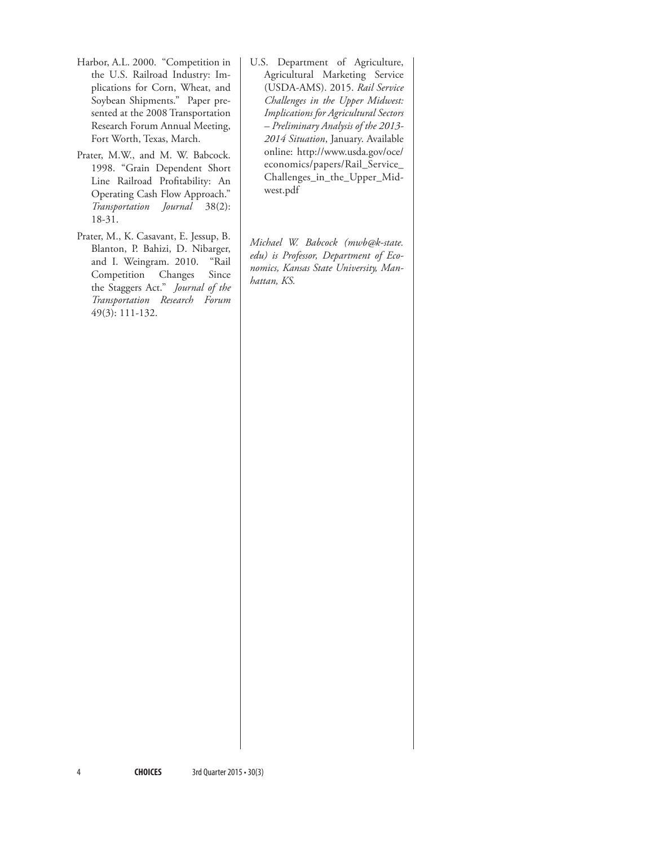- Harbor, A.L. 2000. "Competition in the U.S. Railroad Industry: Implications for Corn, Wheat, and Soybean Shipments." Paper presented at the 2008 Transportation Research Forum Annual Meeting, Fort Worth, Texas, March.
- Prater, M.W., and M. W. Babcock. 1998. "Grain Dependent Short Line Railroad Profitability: An Operating Cash Flow Approach." *Transportation Journal* 38(2): 18-31.
- Prater, M., K. Casavant, E. Jessup, B. Blanton, P. Bahizi, D. Nibarger, and I. Weingram. 2010. "Rail Competition Changes Since the Staggers Act." *Journal of the Transportation Research Forum* 49(3): 111-132.
- U.S. Department of Agriculture, Agricultural Marketing Service (USDA-AMS). 2015. *Rail Service Challenges in the Upper Midwest: Implications for Agricultural Sectors – Preliminary Analysis of the 2013- 2014 Situation*, January. Available online: http://www.usda.gov/oce/ economics/papers/Rail\_Service\_ Challenges\_in\_the\_Upper\_Midwest.pdf

*Michael W. Babcock (mwb@k-state. edu) is Professor, Department of Economics, Kansas State University, Manhattan, KS.*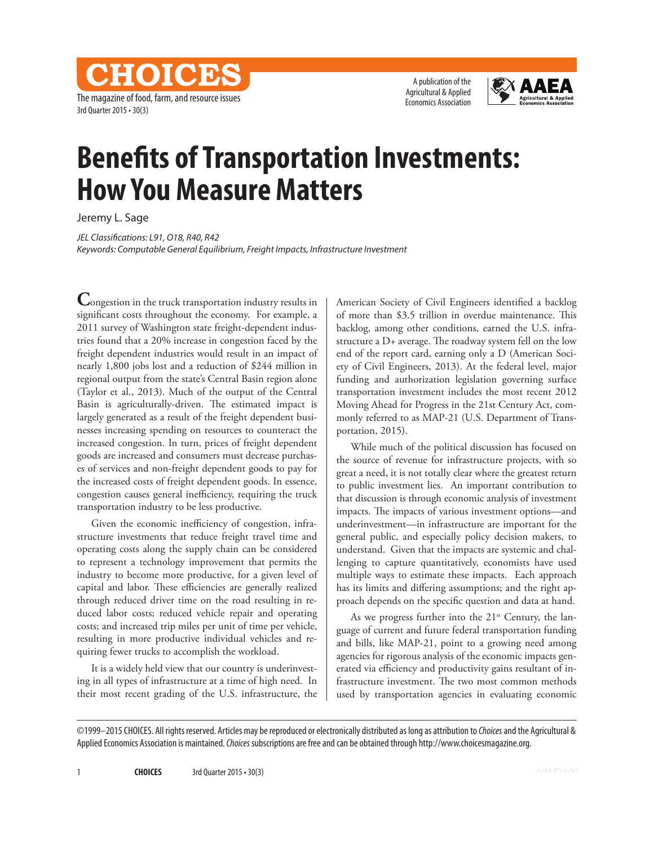The magazine of food, farm, and resource issues 3rd Quarter 2015 • 30(3)

CHOICES

A publication of the Agricultural & Applied Economics Association



# **Benefits of Transportation Investments: How You Measure Matters**

Jeremy L. Sage

*JEL Classifications: L91, O18, R40, R42 Keywords: Computable General Equilibrium, Freight Impacts, Infrastructure Investment*

**C**ongestion in the truck transportation industry results in significant costs throughout the economy. For example, a 2011 survey of Washington state freight-dependent industries found that a 20% increase in congestion faced by the freight dependent industries would result in an impact of nearly 1,800 jobs lost and a reduction of \$244 million in regional output from the state's Central Basin region alone (Taylor et al., 2013). Much of the output of the Central Basin is agriculturally-driven. The estimated impact is largely generated as a result of the freight dependent businesses increasing spending on resources to counteract the increased congestion. In turn, prices of freight dependent goods are increased and consumers must decrease purchases of services and non-freight dependent goods to pay for the increased costs of freight dependent goods. In essence, congestion causes general inefficiency, requiring the truck transportation industry to be less productive.

Given the economic inefficiency of congestion, infrastructure investments that reduce freight travel time and operating costs along the supply chain can be considered to represent a technology improvement that permits the industry to become more productive, for a given level of capital and labor. These efficiencies are generally realized through reduced driver time on the road resulting in reduced labor costs; reduced vehicle repair and operating costs; and increased trip miles per unit of time per vehicle, resulting in more productive individual vehicles and requiring fewer trucks to accomplish the workload.

It is a widely held view that our country is underinvesting in all types of infrastructure at a time of high need. In their most recent grading of the U.S. infrastructure, the American Society of Civil Engineers identified a backlog of more than \$3.5 trillion in overdue maintenance. This backlog, among other conditions, earned the U.S. infrastructure a D+ average. The roadway system fell on the low end of the report card, earning only a D (American Society of Civil Engineers, 2013). At the federal level, major funding and authorization legislation governing surface transportation investment includes the most recent 2012 Moving Ahead for Progress in the 21st Century Act, commonly referred to as MAP-21 (U.S. Department of Transportation, 2015).

While much of the political discussion has focused on the source of revenue for infrastructure projects, with so great a need, it is not totally clear where the greatest return to public investment lies. An important contribution to that discussion is through economic analysis of investment impacts. The impacts of various investment options—and underinvestment—in infrastructure are important for the general public, and especially policy decision makers, to understand. Given that the impacts are systemic and challenging to capture quantitatively, economists have used multiple ways to estimate these impacts. Each approach has its limits and differing assumptions; and the right approach depends on the specific question and data at hand.

As we progress further into the  $21^{st}$  Century, the language of current and future federal transportation funding and bills, like MAP-21, point to a growing need among agencies for rigorous analysis of the economic impacts generated via efficiency and productivity gains resultant of infrastructure investment. The two most common methods used by transportation agencies in evaluating economic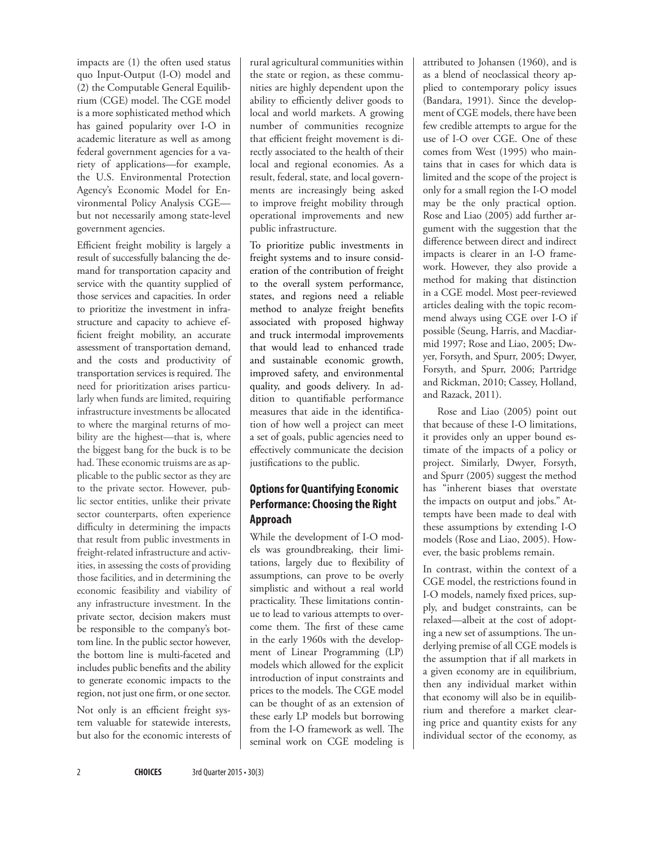impacts are (1) the often used status quo Input-Output (I-O) model and (2) the Computable General Equilibrium (CGE) model. The CGE model is a more sophisticated method which has gained popularity over I-O in academic literature as well as among federal government agencies for a variety of applications—for example, the U.S. Environmental Protection Agency's Economic Model for Environmental Policy Analysis CGE but not necessarily among state-level government agencies.

Efficient freight mobility is largely a result of successfully balancing the demand for transportation capacity and service with the quantity supplied of those services and capacities. In order to prioritize the investment in infrastructure and capacity to achieve efficient freight mobility, an accurate assessment of transportation demand, and the costs and productivity of transportation services is required. The need for prioritization arises particularly when funds are limited, requiring infrastructure investments be allocated to where the marginal returns of mobility are the highest—that is, where the biggest bang for the buck is to be had. These economic truisms are as applicable to the public sector as they are to the private sector. However, public sector entities, unlike their private sector counterparts, often experience difficulty in determining the impacts that result from public investments in freight-related infrastructure and activities, in assessing the costs of providing those facilities, and in determining the economic feasibility and viability of any infrastructure investment. In the private sector, decision makers must be responsible to the company's bottom line. In the public sector however, the bottom line is multi-faceted and includes public benefits and the ability to generate economic impacts to the region, not just one firm, or one sector.

Not only is an efficient freight system valuable for statewide interests, but also for the economic interests of rural agricultural communities within the state or region, as these communities are highly dependent upon the ability to efficiently deliver goods to local and world markets. A growing number of communities recognize that efficient freight movement is directly associated to the health of their local and regional economies. As a result, federal, state, and local governments are increasingly being asked to improve freight mobility through operational improvements and new public infrastructure.

To prioritize public investments in freight systems and to insure consideration of the contribution of freight to the overall system performance, states, and regions need a reliable method to analyze freight benefits associated with proposed highway and truck intermodal improvements that would lead to enhanced trade and sustainable economic growth, improved safety, and environmental quality, and goods delivery. In addition to quantifiable performance measures that aide in the identification of how well a project can meet a set of goals, public agencies need to effectively communicate the decision justifications to the public.

# **Options for Quantifying Economic Performance: Choosing the Right Approach**

While the development of I-O models was groundbreaking, their limitations, largely due to flexibility of assumptions, can prove to be overly simplistic and without a real world practicality. These limitations continue to lead to various attempts to overcome them. The first of these came in the early 1960s with the development of Linear Programming (LP) models which allowed for the explicit introduction of input constraints and prices to the models. The CGE model can be thought of as an extension of these early LP models but borrowing from the I-O framework as well. The seminal work on CGE modeling is

attributed to Johansen (1960), and is as a blend of neoclassical theory applied to contemporary policy issues (Bandara, 1991). Since the development of CGE models, there have been few credible attempts to argue for the use of I-O over CGE. One of these comes from West (1995) who maintains that in cases for which data is limited and the scope of the project is only for a small region the I-O model may be the only practical option. Rose and Liao (2005) add further argument with the suggestion that the difference between direct and indirect impacts is clearer in an I-O framework. However, they also provide a method for making that distinction in a CGE model. Most peer-reviewed articles dealing with the topic recommend always using CGE over I-O if possible (Seung, Harris, and Macdiarmid 1997; Rose and Liao, 2005; Dwyer, Forsyth, and Spurr, 2005; Dwyer, Forsyth, and Spurr, 2006; Partridge and Rickman, 2010; Cassey, Holland, and Razack, 2011).

Rose and Liao (2005) point out that because of these I-O limitations, it provides only an upper bound estimate of the impacts of a policy or project. Similarly, Dwyer, Forsyth, and Spurr (2005) suggest the method has "inherent biases that overstate the impacts on output and jobs." Attempts have been made to deal with these assumptions by extending I-O models (Rose and Liao, 2005). However, the basic problems remain.

In contrast, within the context of a CGE model, the restrictions found in I-O models, namely fixed prices, supply, and budget constraints, can be relaxed—albeit at the cost of adopting a new set of assumptions. The underlying premise of all CGE models is the assumption that if all markets in a given economy are in equilibrium, then any individual market within that economy will also be in equilibrium and therefore a market clearing price and quantity exists for any individual sector of the economy, as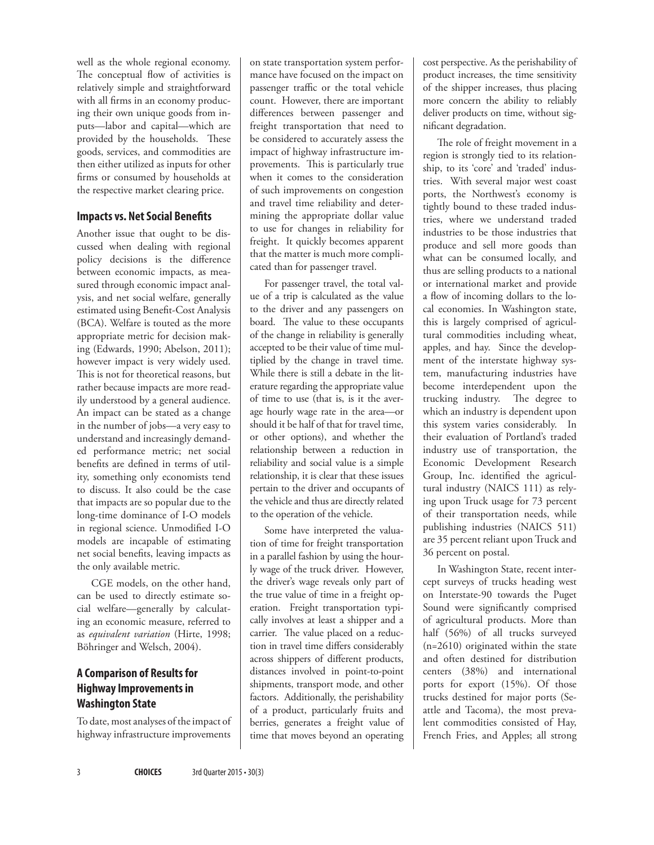well as the whole regional economy. The conceptual flow of activities is relatively simple and straightforward with all firms in an economy producing their own unique goods from inputs—labor and capital—which are provided by the households. These goods, services, and commodities are then either utilized as inputs for other firms or consumed by households at the respective market clearing price.

### **Impacts vs. Net Social Benefits**

Another issue that ought to be discussed when dealing with regional policy decisions is the difference between economic impacts, as measured through economic impact analysis, and net social welfare, generally estimated using Benefit-Cost Analysis (BCA). Welfare is touted as the more appropriate metric for decision making (Edwards, 1990; Abelson, 2011); however impact is very widely used. This is not for theoretical reasons, but rather because impacts are more readily understood by a general audience. An impact can be stated as a change in the number of jobs—a very easy to understand and increasingly demanded performance metric; net social benefits are defined in terms of utility, something only economists tend to discuss. It also could be the case that impacts are so popular due to the long-time dominance of I-O models in regional science. Unmodified I-O models are incapable of estimating net social benefits, leaving impacts as the only available metric.

CGE models, on the other hand, can be used to directly estimate social welfare—generally by calculating an economic measure, referred to as *equivalent variation* (Hirte, 1998; Böhringer and Welsch, 2004).

# **A Comparison of Results for Highway Improvements in Washington State**

To date, most analyses of the impact of highway infrastructure improvements on state transportation system performance have focused on the impact on passenger traffic or the total vehicle count. However, there are important differences between passenger and freight transportation that need to be considered to accurately assess the impact of highway infrastructure improvements. This is particularly true when it comes to the consideration of such improvements on congestion and travel time reliability and determining the appropriate dollar value to use for changes in reliability for freight. It quickly becomes apparent that the matter is much more complicated than for passenger travel.

For passenger travel, the total value of a trip is calculated as the value to the driver and any passengers on board. The value to these occupants of the change in reliability is generally accepted to be their value of time multiplied by the change in travel time. While there is still a debate in the literature regarding the appropriate value of time to use (that is, is it the average hourly wage rate in the area—or should it be half of that for travel time, or other options), and whether the relationship between a reduction in reliability and social value is a simple relationship, it is clear that these issues pertain to the driver and occupants of the vehicle and thus are directly related to the operation of the vehicle.

Some have interpreted the valuation of time for freight transportation in a parallel fashion by using the hourly wage of the truck driver. However, the driver's wage reveals only part of the true value of time in a freight operation. Freight transportation typically involves at least a shipper and a carrier. The value placed on a reduction in travel time differs considerably across shippers of different products, distances involved in point-to-point shipments, transport mode, and other factors. Additionally, the perishability of a product, particularly fruits and berries, generates a freight value of time that moves beyond an operating

cost perspective. As the perishability of product increases, the time sensitivity of the shipper increases, thus placing more concern the ability to reliably deliver products on time, without significant degradation.

The role of freight movement in a region is strongly tied to its relationship, to its 'core' and 'traded' industries. With several major west coast ports, the Northwest's economy is tightly bound to these traded industries, where we understand traded industries to be those industries that produce and sell more goods than what can be consumed locally, and thus are selling products to a national or international market and provide a flow of incoming dollars to the local economies. In Washington state, this is largely comprised of agricultural commodities including wheat, apples, and hay. Since the development of the interstate highway system, manufacturing industries have become interdependent upon the trucking industry. The degree to which an industry is dependent upon this system varies considerably. In their evaluation of Portland's traded industry use of transportation, the Economic Development Research Group, Inc. identified the agricultural industry (NAICS 111) as relying upon Truck usage for 73 percent of their transportation needs, while publishing industries (NAICS 511) are 35 percent reliant upon Truck and 36 percent on postal.

In Washington State, recent intercept surveys of trucks heading west on Interstate-90 towards the Puget Sound were significantly comprised of agricultural products. More than half (56%) of all trucks surveyed (n=2610) originated within the state and often destined for distribution centers (38%) and international ports for export (15%). Of those trucks destined for major ports (Seattle and Tacoma), the most prevalent commodities consisted of Hay, French Fries, and Apples; all strong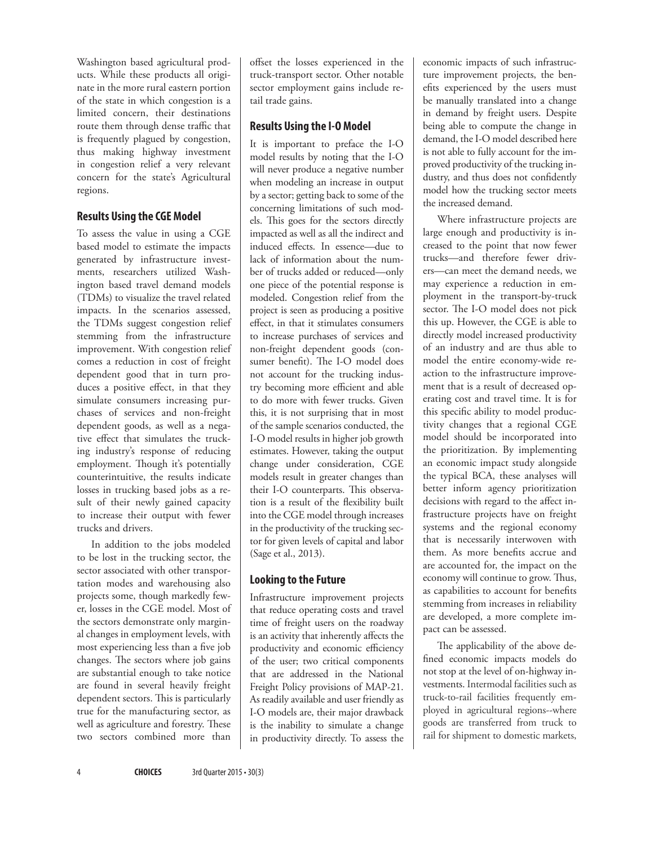Washington based agricultural products. While these products all originate in the more rural eastern portion of the state in which congestion is a limited concern, their destinations route them through dense traffic that is frequently plagued by congestion, thus making highway investment in congestion relief a very relevant concern for the state's Agricultural regions.

### **Results Using the CGE Model**

To assess the value in using a CGE based model to estimate the impacts generated by infrastructure investments, researchers utilized Washington based travel demand models (TDMs) to visualize the travel related impacts. In the scenarios assessed, the TDMs suggest congestion relief stemming from the infrastructure improvement. With congestion relief comes a reduction in cost of freight dependent good that in turn produces a positive effect, in that they simulate consumers increasing purchases of services and non-freight dependent goods, as well as a negative effect that simulates the trucking industry's response of reducing employment. Though it's potentially counterintuitive, the results indicate losses in trucking based jobs as a result of their newly gained capacity to increase their output with fewer trucks and drivers.

In addition to the jobs modeled to be lost in the trucking sector, the sector associated with other transportation modes and warehousing also projects some, though markedly fewer, losses in the CGE model. Most of the sectors demonstrate only marginal changes in employment levels, with most experiencing less than a five job changes. The sectors where job gains are substantial enough to take notice are found in several heavily freight dependent sectors. This is particularly true for the manufacturing sector, as well as agriculture and forestry. These two sectors combined more than

offset the losses experienced in the truck-transport sector. Other notable sector employment gains include retail trade gains.

## **Results Using the I-O Model**

It is important to preface the I-O model results by noting that the I-O will never produce a negative number when modeling an increase in output by a sector; getting back to some of the concerning limitations of such models. This goes for the sectors directly impacted as well as all the indirect and induced effects. In essence—due to lack of information about the number of trucks added or reduced—only one piece of the potential response is modeled. Congestion relief from the project is seen as producing a positive effect, in that it stimulates consumers to increase purchases of services and non-freight dependent goods (consumer benefit). The I-O model does not account for the trucking industry becoming more efficient and able to do more with fewer trucks. Given this, it is not surprising that in most of the sample scenarios conducted, the I-O model results in higher job growth estimates. However, taking the output change under consideration, CGE models result in greater changes than their I-O counterparts. This observation is a result of the flexibility built into the CGE model through increases in the productivity of the trucking sector for given levels of capital and labor (Sage et al., 2013).

## **Looking to the Future**

Infrastructure improvement projects that reduce operating costs and travel time of freight users on the roadway is an activity that inherently affects the productivity and economic efficiency of the user; two critical components that are addressed in the National Freight Policy provisions of MAP-21. As readily available and user friendly as I-O models are, their major drawback is the inability to simulate a change in productivity directly. To assess the economic impacts of such infrastructure improvement projects, the benefits experienced by the users must be manually translated into a change in demand by freight users. Despite being able to compute the change in demand, the I-O model described here is not able to fully account for the improved productivity of the trucking industry, and thus does not confidently model how the trucking sector meets the increased demand.

Where infrastructure projects are large enough and productivity is increased to the point that now fewer trucks—and therefore fewer drivers—can meet the demand needs, we may experience a reduction in employment in the transport-by-truck sector. The I-O model does not pick this up. However, the CGE is able to directly model increased productivity of an industry and are thus able to model the entire economy-wide reaction to the infrastructure improvement that is a result of decreased operating cost and travel time. It is for this specific ability to model productivity changes that a regional CGE model should be incorporated into the prioritization. By implementing an economic impact study alongside the typical BCA, these analyses will better inform agency prioritization decisions with regard to the affect infrastructure projects have on freight systems and the regional economy that is necessarily interwoven with them. As more benefits accrue and are accounted for, the impact on the economy will continue to grow. Thus, as capabilities to account for benefits stemming from increases in reliability are developed, a more complete impact can be assessed.

The applicability of the above defined economic impacts models do not stop at the level of on-highway investments. Intermodal facilities such as truck-to-rail facilities frequently employed in agricultural regions--where goods are transferred from truck to rail for shipment to domestic markets,